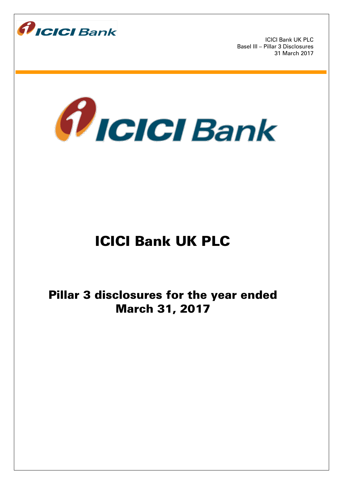



# ICICI Bank UK PLC

Pillar 3 disclosures for the year ended March 31, 2017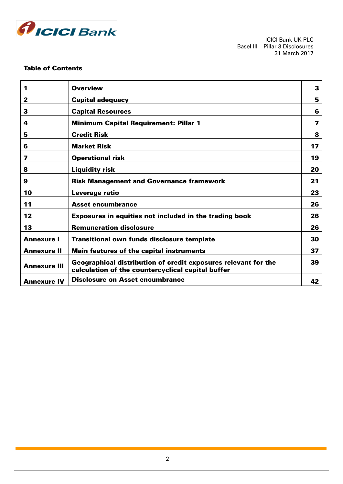

# Table of Contents

| 1                   | <b>Overview</b>                                                                                                     | 3  |
|---------------------|---------------------------------------------------------------------------------------------------------------------|----|
| 2                   | <b>Capital adequacy</b>                                                                                             | 5  |
| 3                   | <b>Capital Resources</b>                                                                                            | 6  |
| 4                   | <b>Minimum Capital Requirement: Pillar 1</b>                                                                        | 7  |
| 5                   | <b>Credit Risk</b>                                                                                                  | 8  |
| 6                   | <b>Market Risk</b>                                                                                                  | 17 |
| 7                   | <b>Operational risk</b>                                                                                             | 19 |
| 8                   | <b>Liquidity risk</b>                                                                                               | 20 |
| 9                   | <b>Risk Management and Governance framework</b>                                                                     | 21 |
| 10                  | Leverage ratio                                                                                                      | 23 |
| 11                  | <b>Asset encumbrance</b>                                                                                            | 26 |
| 12                  | <b>Exposures in equities not included in the trading book</b>                                                       | 26 |
| 13                  | <b>Remuneration disclosure</b>                                                                                      | 26 |
| <b>Annexure I</b>   | <b>Transitional own funds disclosure template</b>                                                                   | 30 |
| <b>Annexure II</b>  | <b>Main features of the capital instruments</b>                                                                     | 37 |
| <b>Annexure III</b> | Geographical distribution of credit exposures relevant for the<br>calculation of the countercyclical capital buffer | 39 |
| <b>Annexure IV</b>  | <b>Disclosure on Asset encumbrance</b>                                                                              | 42 |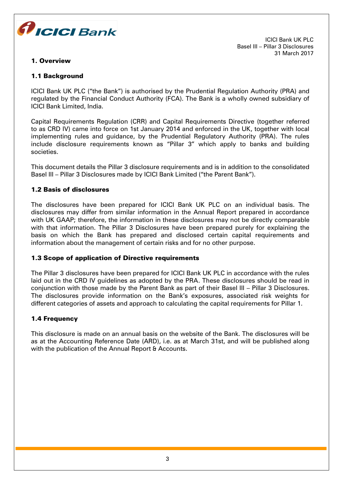

## 1. Overview

ICICI Bank UK PLC Basel III – Pillar 3 Disclosures 31 March 2017

# 1.1 Background

ICICI Bank UK PLC ("the Bank") is authorised by the Prudential Regulation Authority (PRA) and regulated by the Financial Conduct Authority (FCA). The Bank is a wholly owned subsidiary of ICICI Bank Limited, India.

Capital Requirements Regulation (CRR) and Capital Requirements Directive (together referred to as CRD IV) came into force on 1st January 2014 and enforced in the UK, together with local implementing rules and guidance, by the Prudential Regulatory Authority (PRA). The rules include disclosure requirements known as "Pillar 3" which apply to banks and building societies.

This document details the Pillar 3 disclosure requirements and is in addition to the consolidated Basel III – Pillar 3 Disclosures made by ICICI Bank Limited ("the Parent Bank").

## 1.2 Basis of disclosures

The disclosures have been prepared for ICICI Bank UK PLC on an individual basis. The disclosures may differ from similar information in the Annual Report prepared in accordance with UK GAAP; therefore, the information in these disclosures may not be directly comparable with that information. The Pillar 3 Disclosures have been prepared purely for explaining the basis on which the Bank has prepared and disclosed certain capital requirements and information about the management of certain risks and for no other purpose.

## 1.3 Scope of application of Directive requirements

The Pillar 3 disclosures have been prepared for ICICI Bank UK PLC in accordance with the rules laid out in the CRD IV guidelines as adopted by the PRA. These disclosures should be read in conjunction with those made by the Parent Bank as part of their Basel III – Pillar 3 Disclosures. The disclosures provide information on the Bank's exposures, associated risk weights for different categories of assets and approach to calculating the capital requirements for Pillar 1.

## 1.4 Frequency

This disclosure is made on an annual basis on the website of the Bank. The disclosures will be as at the Accounting Reference Date (ARD), i.e. as at March 31st, and will be published along with the publication of the Annual Report & Accounts.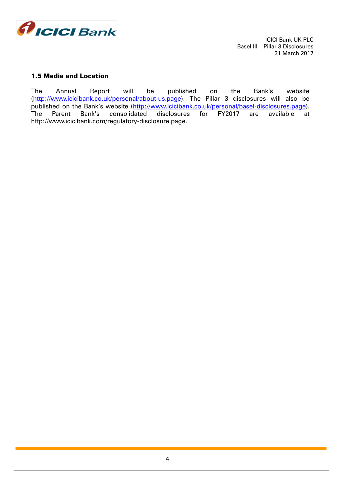

## 1.5 Media and Location

The Annual Report will be published on the Bank's website (http://www.icicibank.co.uk/personal/about-us.page). The Pillar 3 disclosures will also be published on the Bank's website (http://www.icicibank.co.uk/personal/basel-disclosures.page). The Parent Bank's consolidated disclosures for FY2017 are available at [http://www.icicibank.com/regulatory-disclosure.page.](http://www.icicibank.com/regulatory-disclosure.page)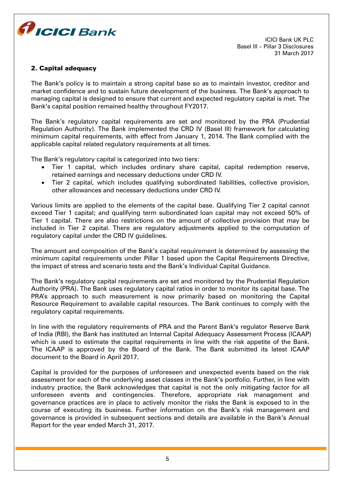

## 2. Capital adequacy

The Bank's policy is to maintain a strong capital base so as to maintain investor, creditor and market confidence and to sustain future development of the business. The Bank's approach to managing capital is designed to ensure that current and expected regulatory capital is met. The Bank's capital position remained healthy throughout FY2017.

The Bank's regulatory capital requirements are set and monitored by the PRA (Prudential Regulation Authority). The Bank implemented the CRD IV (Basel III) framework for calculating minimum capital requirements, with effect from January 1, 2014. The Bank complied with the applicable capital related regulatory requirements at all times.

The Bank's regulatory capital is categorized into two tiers:

- Tier 1 capital, which includes ordinary share capital, capital redemption reserve, retained earnings and necessary deductions under CRD IV.
- Tier 2 capital, which includes qualifying subordinated liabilities, collective provision, other allowances and necessary deductions under CRD IV.

Various limits are applied to the elements of the capital base. Qualifying Tier 2 capital cannot exceed Tier 1 capital; and qualifying term subordinated loan capital may not exceed 50% of Tier 1 capital. There are also restrictions on the amount of collective provision that may be included in Tier 2 capital. There are regulatory adjustments applied to the computation of regulatory capital under the CRD IV guidelines.

The amount and composition of the Bank's capital requirement is determined by assessing the minimum capital requirements under Pillar 1 based upon the Capital Requirements Directive, the impact of stress and scenario tests and the Bank's Individual Capital Guidance.

The Bank's regulatory capital requirements are set and monitored by the Prudential Regulation Authority (PRA). The Bank uses regulatory capital ratios in order to monitor its capital base. The PRA's approach to such measurement is now primarily based on monitoring the Capital Resource Requirement to available capital resources. The Bank continues to comply with the regulatory capital requirements.

In line with the regulatory requirements of PRA and the Parent Bank's regulator Reserve Bank of India (RBI), the Bank has instituted an Internal Capital Adequacy Assessment Process (ICAAP) which is used to estimate the capital requirements in line with the risk appetite of the Bank. The ICAAP is approved by the Board of the Bank. The Bank submitted its latest ICAAP document to the Board in April 2017.

Capital is provided for the purposes of unforeseen and unexpected events based on the risk assessment for each of the underlying asset classes in the Bank's portfolio. Further, in line with industry practice, the Bank acknowledges that capital is not the only mitigating factor for all unforeseen events and contingencies. Therefore, appropriate risk management and governance practices are in place to actively monitor the risks the Bank is exposed to in the course of executing its business. Further information on the Bank's risk management and governance is provided in subsequent sections and details are available in the Bank's Annual Report for the year ended March 31, 2017.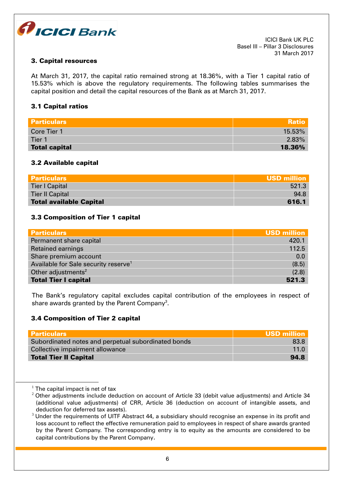

## 3. Capital resources

At March 31, 2017, the capital ratio remained strong at 18.36%, with a Tier 1 capital ratio of 15.53% which is above the regulatory requirements. The following tables summarises the capital position and detail the capital resources of the Bank as at March 31, 2017.

## 3.1 Capital ratios

| <b>Particulars</b>   | <b>Ratio</b> |
|----------------------|--------------|
| Core Tier 1          | $15.53\%$    |
| Tier 1               | $2.83\%$     |
| <b>Total capital</b> | 18.36%       |

# 3.2 Available capital

| <b>Particulars</b>             | <b>USD million</b> |
|--------------------------------|--------------------|
| <b>Tier I Capital</b>          | 521.3              |
| Tier II Capital                | 94.8               |
| <b>Total available Capital</b> | 616.1              |

## 3.3 Composition of Tier 1 capital

| <b>Particulars</b>                               | <b>USD million</b> |
|--------------------------------------------------|--------------------|
| Permanent share capital                          | 420.1              |
| <b>Retained earnings</b>                         | 112.5              |
| Share premium account                            | 0.0                |
| Available for Sale security reserve <sup>1</sup> | (8.5)              |
| Other adjustments <sup>2</sup>                   | (2.8)              |
| <b>Total Tier I capital</b>                      | 521.3              |

The Bank's regulatory capital excludes capital contribution of the employees in respect of share awards granted by the Parent Company $^3\!$ .

## 3.4 Composition of Tier 2 capital

| <b>Particulars</b>                                  | USD million     |
|-----------------------------------------------------|-----------------|
| Subordinated notes and perpetual subordinated bonds | 83.8            |
| Collective impairment allowance                     | 11 <sub>0</sub> |
| <b>Total Tier II Capital</b>                        | 94.8            |

 $^{\rm 1}$  The capital impact is net of tax

1

 $2$  Other adjustments include deduction on account of Article 33 (debit value adjustments) and Article 34 (additional value adjustments) of CRR, Article 36 (deduction on account of intangible assets, and deduction for deferred tax assets).

 $3$  Under the requirements of UITF Abstract 44, a subsidiary should recognise an expense in its profit and loss account to reflect the effective remuneration paid to employees in respect of share awards granted by the Parent Company. The corresponding entry is to equity as the amounts are considered to be capital contributions by the Parent Company.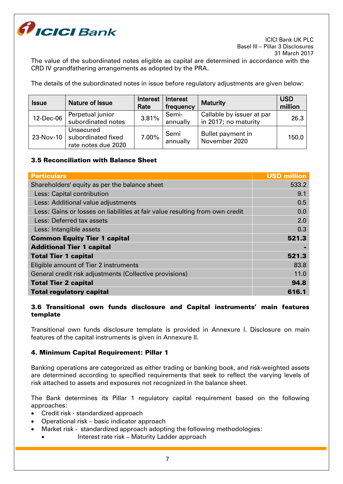

The value of the subordinated notes eligible as capital are determined in accordance with the CRD IV grandfathering arrangements as adopted by the PRA.

The details of the subordinated notes in issue before regulatory adjustments are given below:

| <b>Issue</b> | Nature of Issue                                        | Interest<br>Rate | Interest<br>frequency | <b>Maturity</b>                                   | <b>USD</b><br>million |
|--------------|--------------------------------------------------------|------------------|-----------------------|---------------------------------------------------|-----------------------|
| 12-Dec-06    | Perpetual junior<br>subordinated notes                 | 3.81%            | Semi-<br>annually     | Callable by issuer at par<br>in 2017; no maturity | 26.3                  |
| 23-Nov-10    | Unsecured<br>subordinated fixed<br>rate notes due 2020 | 7.00%            | Semi<br>annually      | Bullet payment in<br>November 2020                | 150.0                 |

## 3.5 Reconciliation with Balance Sheet

| <b>Particulars</b>                                                           | <b>USD million</b> |
|------------------------------------------------------------------------------|--------------------|
| Shareholders' equity as per the balance sheet                                | 533.2              |
| Less: Capital contribution                                                   | 9.1                |
| Less: Additional value adjustments                                           | 0.5                |
| Less: Gains or losses on liabilities at fair value resulting from own credit | 0.0                |
| Less: Deferred tax assets                                                    | 2.0                |
| Less: Intangible assets                                                      | 0.3                |
| <b>Common Equity Tier 1 capital</b>                                          | 521.3              |
| <b>Additional Tier 1 capital</b>                                             |                    |
| <b>Total Tier 1 capital</b>                                                  | 521.3              |
| Eligible amount of Tier 2 instruments                                        | 83.8               |
| General credit risk adjustments (Collective provisions)                      | 11.0               |
| <b>Total Tier 2 capital</b>                                                  | 94.8               |
| <b>Total regulatory capital</b>                                              | 616.1              |

# 3.6 Transitional own funds disclosure and Capital instruments' main features template

Transitional own funds disclosure template is provided in Annexure I. Disclosure on main features of the capital instruments is given in Annexure II.

# 4. Minimum Capital Requirement: Pillar 1

Banking operations are categorized as either trading or banking book, and risk-weighted assets are determined according to specified requirements that seek to reflect the varying levels of risk attached to assets and exposures not recognized in the balance sheet.

The Bank determines its Pillar 1 regulatory capital requirement based on the following approaches:

- Credit risk standardized approach
- Operational risk basic indicator approach
- Market risk standardized approach adopting the following methodologies:
	- Interest rate risk Maturity Ladder approach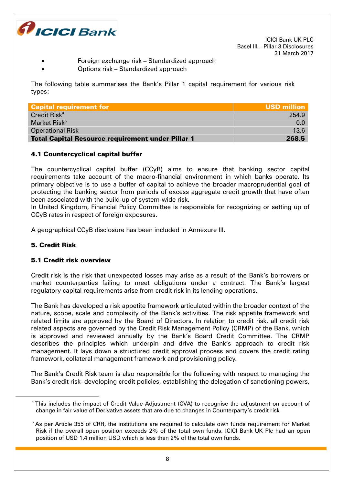

- Foreign exchange risk Standardized approach
	- Options risk Standardized approach

The following table summarises the Bank's Pillar 1 capital requirement for various risk types:

| <b>Capital requirement for</b>                           | USD million |
|----------------------------------------------------------|-------------|
| Credit Risk <sup>4</sup>                                 | 254.9       |
| Market Risk <sup>5</sup>                                 | 0.0         |
| <b>Operational Risk</b>                                  | 13.6        |
| <b>Total Capital Resource requirement under Pillar 1</b> | 268.5       |

# 4.1 Countercyclical capital buffer

The countercyclical capital buffer (CCyB) aims to ensure that banking sector capital requirements take account of the macro-financial environment in which banks operate. Its primary objective is to use a buffer of capital to achieve the broader macroprudential goal of protecting the banking sector from periods of excess aggregate credit growth that have often been associated with the build-up of system-wide risk.

In United Kingdom, Financial Policy Committee is responsible for recognizing or setting up of CCyB rates in respect of foreign exposures.

A geographical CCyB disclosure has been included in Annexure III.

# 5. Credit Risk

<u>.</u>

# 5.1 Credit risk overview

Credit risk is the risk that unexpected losses may arise as a result of the Bank's borrowers or market counterparties failing to meet obligations under a contract. The Bank's largest regulatory capital requirements arise from credit risk in its lending operations.

The Bank has developed a risk appetite framework articulated within the broader context of the nature, scope, scale and complexity of the Bank's activities. The risk appetite framework and related limits are approved by the Board of Directors. In relation to credit risk, all credit risk related aspects are governed by the Credit Risk Management Policy (CRMP) of the Bank, which is approved and reviewed annually by the Bank's Board Credit Committee. The CRMP describes the principles which underpin and drive the Bank's approach to credit risk management. It lays down a structured credit approval process and covers the credit rating framework, collateral management framework and provisioning policy.

The Bank's Credit Risk team is also responsible for the following with respect to managing the Bank's credit risk- developing credit policies, establishing the delegation of sanctioning powers,

 $^4$ This includes the impact of Credit Value Adjustment (CVA) to recognise the adjustment on account of change in fair value of Derivative assets that are due to changes in Counterparty's credit risk

 $5$  As per Article 355 of CRR, the institutions are required to calculate own funds requirement for Market Risk if the overall open position exceeds 2% of the total own funds. ICICI Bank UK Plc had an open position of USD 1.4 million USD which is less than 2% of the total own funds.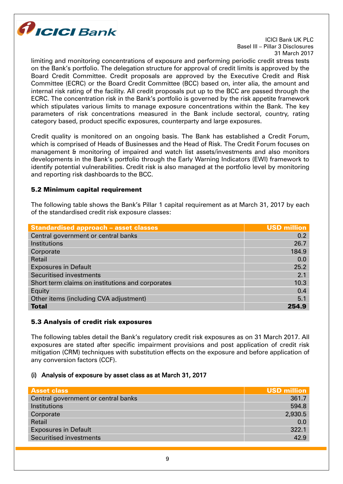

limiting and monitoring concentrations of exposure and performing periodic credit stress tests on the Bank's portfolio. The delegation structure for approval of credit limits is approved by the Board Credit Committee. Credit proposals are approved by the Executive Credit and Risk Committee (ECRC) or the Board Credit Committee (BCC) based on, inter alia, the amount and internal risk rating of the facility. All credit proposals put up to the BCC are passed through the ECRC. The concentration risk in the Bank's portfolio is governed by the risk appetite framework which stipulates various limits to manage exposure concentrations within the Bank. The key parameters of risk concentrations measured in the Bank include sectoral, country, rating category based, product specific exposures, counterparty and large exposures.

Credit quality is monitored on an ongoing basis. The Bank has established a Credit Forum, which is comprised of Heads of Businesses and the Head of Risk. The Credit Forum focuses on management & monitoring of impaired and watch list assets/investments and also monitors developments in the Bank's portfolio through the Early Warning Indicators (EWI) framework to identify potential vulnerabilities. Credit risk is also managed at the portfolio level by monitoring and reporting risk dashboards to the BCC.

## 5.2 Minimum capital requirement

The following table shows the Bank's Pillar 1 capital requirement as at March 31, 2017 by each of the standardised credit risk exposure classes:

| <b>Standardised approach - asset classes</b>     | <b>USD million</b> |
|--------------------------------------------------|--------------------|
| Central government or central banks              | 0.2                |
| <b>Institutions</b>                              | 26.7               |
| Corporate                                        | 184.9              |
| Retail                                           | 0.0                |
| <b>Exposures in Default</b>                      | 25.2               |
| <b>Securitised investments</b>                   | 2.1                |
| Short term claims on institutions and corporates | 10.3               |
| Equity                                           | 0.4                |
| Other items (including CVA adjustment)           | 5.1                |
| <b>Total</b>                                     | 254.9              |

## 5.3 Analysis of credit risk exposures

The following tables detail the Bank's regulatory credit risk exposures as on 31 March 2017. All exposures are stated after specific impairment provisions and post application of credit risk mitigation (CRM) techniques with substitution effects on the exposure and before application of any conversion factors (CCF).

## (i) Analysis of exposure by asset class as at March 31, 2017

| <b>Asset class</b>                  | <b>USD million</b> |
|-------------------------------------|--------------------|
| Central government or central banks | 361.7              |
| Institutions                        | 594.8              |
| Corporate                           | 2,930.5            |
| Retail                              | 0.0                |
| <b>Exposures in Default</b>         | 322.1              |
| Securitised investments             | 42.9               |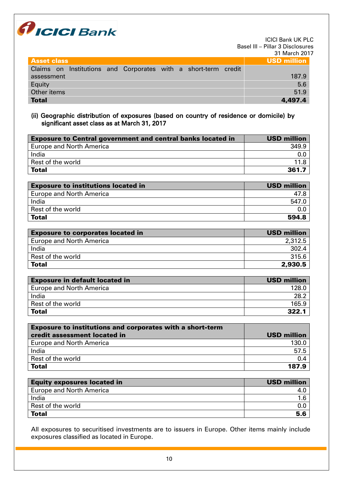

| <b>Asset class</b>                                             | <b>USD million</b> |
|----------------------------------------------------------------|--------------------|
| Claims on Institutions and Corporates with a short-term credit |                    |
| assessment                                                     | 187.9              |
| Equity                                                         | 5.6                |
| Other items                                                    | 51.9               |
| <b>Total</b>                                                   | 4,497.4            |

## (ii) Geographic distribution of exposures (based on country of residence or domicile) by significant asset class as at March 31, 2017

| <b>Exposure to Central government and central banks located in</b> | <b>USD million</b> |
|--------------------------------------------------------------------|--------------------|
| <b>Europe and North America</b>                                    | 349.9              |
| India                                                              |                    |
| Rest of the world                                                  | 11 R               |
| <b>Total</b>                                                       | 361.7              |

| <b>Exposure to institutions located in</b> | <b>USD million</b> |
|--------------------------------------------|--------------------|
| <b>Europe and North America</b>            |                    |
| India                                      | 547.               |
| Rest of the world                          |                    |
| <b>Total</b>                               | 594.8              |

| <b>Exposure to corporates located in</b> | <b>USD million</b> |
|------------------------------------------|--------------------|
| <b>Europe and North America</b>          | 2,312.5            |
| India                                    | 302.4              |
| Rest of the world                        | 315.6              |
| <b>Total</b>                             | 2,930.5            |

| <b>Exposure in default located in</b> | <b>USD million</b> |
|---------------------------------------|--------------------|
| <b>Europe and North America</b>       | 128.0              |
| India                                 | 28.2               |
| Rest of the world                     | 165.9              |
| <b>Total</b>                          | 322.1              |

| <b>Exposure to institutions and corporates with a short-term</b><br>credit assessment located in | <b>USD million</b> |
|--------------------------------------------------------------------------------------------------|--------------------|
| <b>Europe and North America</b>                                                                  | 130.0              |
| India                                                                                            | 57.5               |
| Rest of the world                                                                                | 0.4                |
| <b>Total</b>                                                                                     | 187.9              |

| <b>Equity exposures located in</b> | <b>USD million</b> |
|------------------------------------|--------------------|
| <b>Europe and North America</b>    |                    |
| India                              |                    |
| Rest of the world                  |                    |
| <b>Total</b>                       | 5.6                |

All exposures to securitised investments are to issuers in Europe. Other items mainly include exposures classified as located in Europe.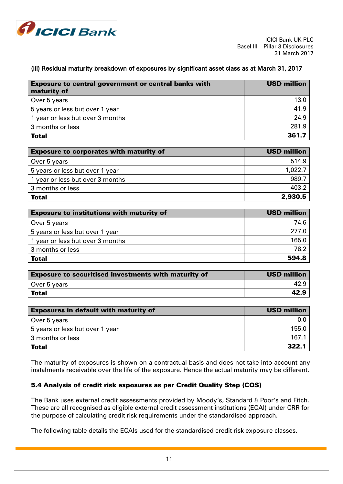

## (iii) Residual maturity breakdown of exposures by significant asset class as at March 31, 2017

| <b>Exposure to central government or central banks with</b><br>maturity of | <b>USD million</b> |
|----------------------------------------------------------------------------|--------------------|
| Over 5 years                                                               | 13.0               |
| 5 years or less but over 1 year                                            | 41.9               |
| 1 year or less but over 3 months                                           | 24.9               |
| 3 months or less                                                           | 281.9              |
| <b>Total</b>                                                               | 361.7              |

| <b>Exposure to corporates with maturity of</b> | <b>USD million</b> |
|------------------------------------------------|--------------------|
| Over 5 years                                   | 514.9              |
| 5 years or less but over 1 year                | 1,022.7            |
| 1 year or less but over 3 months               | 989.7              |
| 3 months or less                               | 403.2              |
| <b>Total</b>                                   | 2,930.5            |

| <b>Exposure to institutions with maturity of</b> | <b>USD million</b> |
|--------------------------------------------------|--------------------|
| Over 5 years                                     | 74.6               |
| 5 years or less but over 1 year                  | 277.0              |
| 1 year or less but over 3 months                 | 165.0              |
| 3 months or less                                 | 78.2               |
| <b>Total</b>                                     | 594.8              |

| <b>Exposure to securitised investments with maturity of</b> | <b>USD million</b> |
|-------------------------------------------------------------|--------------------|
| Over 5 years                                                | 42.9               |
| <b>Total</b>                                                | 42.9               |

| <b>Exposures in default with maturity of</b> | <b>USD million</b> |
|----------------------------------------------|--------------------|
| Over 5 years                                 |                    |
| 5 years or less but over 1 year              | 155.0              |
| 3 months or less                             | 167.               |
| <b>Total</b>                                 | 322.1              |

The maturity of exposures is shown on a contractual basis and does not take into account any instalments receivable over the life of the exposure. Hence the actual maturity may be different.

## 5.4 Analysis of credit risk exposures as per Credit Quality Step (CQS)

The Bank uses external credit assessments provided by Moody's, Standard & Poor's and Fitch. These are all recognised as eligible external credit assessment institutions (ECAI) under CRR for the purpose of calculating credit risk requirements under the standardised approach.

The following table details the ECAIs used for the standardised credit risk exposure classes.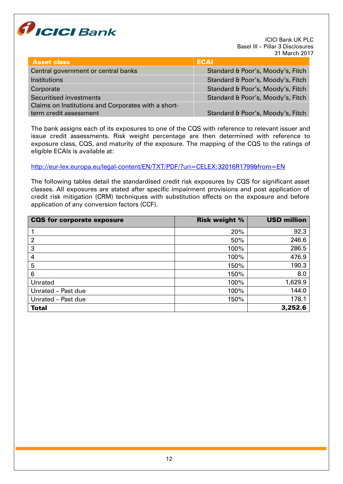

| <b>Asset class</b>                                  | <b>ECAI</b>                       |
|-----------------------------------------------------|-----------------------------------|
| Central government or central banks                 | Standard & Poor's, Moody's, Fitch |
| Institutions                                        | Standard & Poor's, Moody's, Fitch |
| Corporate                                           | Standard & Poor's, Moody's, Fitch |
| Securitised investments                             | Standard & Poor's, Moody's, Fitch |
| Claims on Institutions and Corporates with a short- |                                   |
| term credit assessment                              | Standard & Poor's, Moody's, Fitch |

The bank assigns each of its exposures to one of the CQS with reference to relevant issuer and issue credit assessments. Risk weight percentage are then determined with reference to exposure class, CQS, and maturity of the exposure. The mapping of the CQS to the ratings of eligible ECAIs is available at:

## <http://eur-lex.europa.eu/legal-content/EN/TXT/PDF/?uri=CELEX:32016R1799&from=EN>

The following tables detail the standardised credit risk exposures by CQS for significant asset classes. All exposures are stated after specific impairment provisions and post application of credit risk mitigation (CRM) techniques with substitution effects on the exposure and before application of any conversion factors (CCF).

| <b>CQS for corporate exposure</b> | <b>Risk weight %</b> | <b>USD million</b> |
|-----------------------------------|----------------------|--------------------|
|                                   | 20%                  | 92.3               |
| $\overline{2}$                    | 50%                  | 246.6              |
| 3                                 | 100%                 | 286.5              |
| $\overline{4}$                    | 100%                 | 476.9              |
| 5                                 | 150%                 | 190.3              |
| 6                                 | 150%                 | 8.0                |
| Unrated                           | 100%                 | 1,629.9            |
| Unrated - Past due                | 100%                 | 144.0              |
| Unrated - Past due                | 150%                 | 178.1              |
| <b>Total</b>                      |                      | 3,252.6            |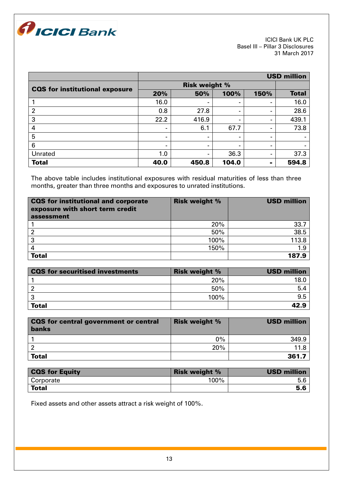

|                                       | <b>USD million</b>       |                          |                          |                          |              |
|---------------------------------------|--------------------------|--------------------------|--------------------------|--------------------------|--------------|
|                                       | <b>Risk weight %</b>     |                          |                          |                          |              |
| <b>CQS</b> for institutional exposure | 20%                      | 50%                      | 100%                     | 150%                     | <b>Total</b> |
|                                       | 16.0                     |                          | $\blacksquare$           | $\blacksquare$           | 16.0         |
| $\overline{2}$                        | 0.8                      | 27.8                     | $\overline{\phantom{a}}$ | $\blacksquare$           | 28.6         |
| 3                                     | 22.2                     | 416.9                    | $\blacksquare$           | $\blacksquare$           | 439.1        |
| 4                                     | $\blacksquare$           | 6.1                      | 67.7                     | $\overline{\phantom{a}}$ | 73.8         |
| 5                                     | -                        | $\overline{\phantom{a}}$ |                          | $\,$                     |              |
| 6                                     | $\overline{\phantom{0}}$ | ۰                        | -                        | $\blacksquare$           |              |
| Unrated                               | 1.0                      | $\blacksquare$           | 36.3                     | $\blacksquare$           | 37.3         |
| <b>Total</b>                          | 40.0                     | 450.8                    | 104.0                    |                          | 594.8        |

The above table includes institutional exposures with residual maturities of less than three months, greater than three months and exposures to unrated institutions.

| <b>CQS</b> for institutional and corporate<br>exposure with short term credit<br>assessment | <b>Risk weight %</b> | <b>USD million</b> |
|---------------------------------------------------------------------------------------------|----------------------|--------------------|
|                                                                                             | 20%                  | 33.7               |
|                                                                                             | 50%                  | 38.5               |
| -3                                                                                          | 100%                 | 113.8              |
|                                                                                             | 150%                 | 1.9                |
| <b>Total</b>                                                                                |                      | 187.9              |

| <b>CQS</b> for securitised investments | <b>Risk weight %</b> | <b>USD million</b> |
|----------------------------------------|----------------------|--------------------|
|                                        | 20%                  | 18.0               |
|                                        | 50%                  | 5.4                |
|                                        | 100%                 | 9.5                |
| <b>Total</b>                           |                      | 42.9               |

| <b>CQS</b> for central government or central<br>banks | <b>Risk weight %</b> | <b>USD million</b> |
|-------------------------------------------------------|----------------------|--------------------|
|                                                       | $0\%$                | 349.9              |
|                                                       | 20%                  |                    |
| <b>Total</b>                                          |                      | 361.7              |

| <b>CQS for Equity</b> | <b>Risk weight %</b> | <b>USD million</b> |
|-----------------------|----------------------|--------------------|
| Corporate             | 100%                 |                    |
| <b>Total</b>          |                      | 5.6                |

Fixed assets and other assets attract a risk weight of 100%.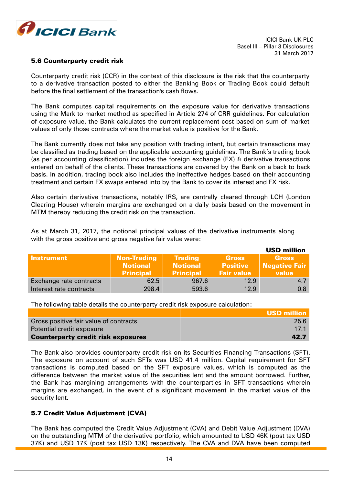

## 5.6 Counterparty credit risk

Counterparty credit risk (CCR) in the context of this disclosure is the risk that the counterparty to a derivative transaction posted to either the Banking Book or Trading Book could default before the final settlement of the transaction's cash flows.

The Bank computes capital requirements on the exposure value for derivative transactions using the Mark to market method as specified in Article 274 of CRR guidelines. For calculation of exposure value, the Bank calculates the current replacement cost based on sum of market values of only those contracts where the market value is positive for the Bank.

The Bank currently does not take any position with trading intent, but certain transactions may be classified as trading based on the applicable accounting guidelines. The Bank's trading book (as per accounting classification) includes the foreign exchange (FX) & derivative transactions entered on behalf of the clients. These transactions are covered by the Bank on a back to back basis. In addition, trading book also includes the ineffective hedges based on their accounting treatment and certain FX swaps entered into by the Bank to cover its interest and FX risk.

Also certain derivative transactions, notably IRS, are centrally cleared through LCH (London Clearing House) wherein margins are exchanged on a daily basis based on the movement in MTM thereby reducing the credit risk on the transaction.

As at March 31, 2017, the notional principal values of the derivative instruments along with the gross positive and gross negative fair value were:

|                         |                                                           |                                                       |                                                      | <b>USD million</b>                     |
|-------------------------|-----------------------------------------------------------|-------------------------------------------------------|------------------------------------------------------|----------------------------------------|
| <b>Instrument</b>       | <b>Non-Trading</b><br><b>Notional</b><br><b>Principal</b> | <b>Trading</b><br><b>Notional</b><br><b>Principal</b> | <b>Gross</b><br><b>Positive</b><br><b>Fair value</b> | <b>Gross</b><br>Negative Fair<br>value |
| Exchange rate contracts | 62.5                                                      | 967.6                                                 | 12.9                                                 | 4.7                                    |
| Interest rate contracts | 298.4                                                     | 593.6                                                 | 12.9                                                 | 0.8                                    |

The following table details the counterparty credit risk exposure calculation:

|                                           | USD million |
|-------------------------------------------|-------------|
| Gross positive fair value of contracts    | 25.6        |
| Potential credit exposure                 | 17.1        |
| <b>Counterparty credit risk exposures</b> | -42.7       |

The Bank also provides counterparty credit risk on its Securities Financing Transactions (SFT). The exposure on account of such SFTs was USD 41.4 million. Capital requirement for SFT transactions is computed based on the SFT exposure values, which is computed as the difference between the market value of the securities lent and the amount borrowed. Further, the Bank has margining arrangements with the counterparties in SFT transactions wherein margins are exchanged, in the event of a significant movement in the market value of the security lent.

# 5.7 Credit Value Adjustment (CVA)

The Bank has computed the Credit Value Adjustment (CVA) and Debit Value Adjustment (DVA) on the outstanding MTM of the derivative portfolio, which amounted to USD 46K (post tax USD 37K) and USD 17K (post tax USD 13K) respectively. The CVA and DVA have been computed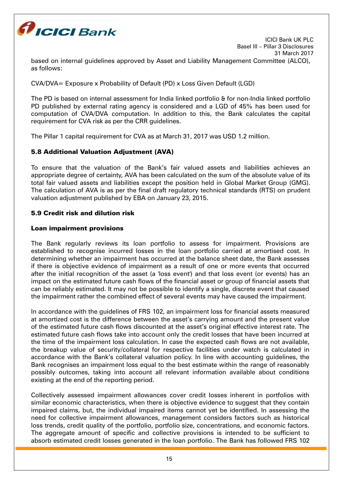

based on internal guidelines approved by Asset and Liability Management Committee (ALCO), as follows:

CVA/DVA= Exposure x Probability of Default (PD) x Loss Given Default (LGD)

The PD is based on internal assessment for India linked portfolio & for non-India linked portfolio PD published by external rating agency is considered and a LGD of 45% has been used for computation of CVA/DVA computation. In addition to this, the Bank calculates the capital requirement for CVA risk as per the CRR guidelines.

The Pillar 1 capital requirement for CVA as at March 31, 2017 was USD 1.2 million.

# 5.8 Additional Valuation Adjustment (AVA)

To ensure that the valuation of the Bank's fair valued assets and liabilities achieves an appropriate degree of certainty, AVA has been calculated on the sum of the absolute value of its total fair valued assets and liabilities except the position held in Global Market Group (GMG). The calculation of AVA is as per the final draft regulatory technical standards (RTS) on prudent valuation adjustment published by EBA on January 23, 2015.

# 5.9 Credit risk and dilution risk

## Loan impairment provisions

The Bank regularly reviews its loan portfolio to assess for impairment. Provisions are established to recognise incurred losses in the loan portfolio carried at amortised cost. In determining whether an impairment has occurred at the balance sheet date, the Bank assesses if there is objective evidence of impairment as a result of one or more events that occurred after the initial recognition of the asset (a 'loss event') and that loss event (or events) has an impact on the estimated future cash flows of the financial asset or group of financial assets that can be reliably estimated. It may not be possible to identify a single, discrete event that caused the impairment rather the combined effect of several events may have caused the impairment.

In accordance with the guidelines of FRS 102, an impairment loss for financial assets measured at amortized cost is the difference between the asset's carrying amount and the present value of the estimated future cash flows discounted at the asset's original effective interest rate. The estimated future cash flows take into account only the credit losses that have been incurred at the time of the impairment loss calculation. In case the expected cash flows are not available, the breakup value of security/collateral for respective facilities under watch is calculated in accordance with the Bank's collateral valuation policy. In line with accounting guidelines, the Bank recognises an impairment loss equal to the best estimate within the range of reasonably possibly outcomes, taking into account all relevant information available about conditions existing at the end of the reporting period.

Collectively assessed impairment allowances cover credit losses inherent in portfolios with similar economic characteristics, when there is objective evidence to suggest that they contain impaired claims, but, the individual impaired items cannot yet be identified. In assessing the need for collective impairment allowances, management considers factors such as historical loss trends, credit quality of the portfolio, portfolio size, concentrations, and economic factors. The aggregate amount of specific and collective provisions is intended to be sufficient to absorb estimated credit losses generated in the loan portfolio. The Bank has followed FRS 102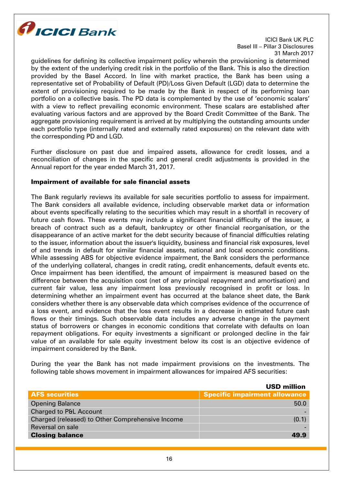

guidelines for defining its collective impairment policy wherein the provisioning is determined by the extent of the underlying credit risk in the portfolio of the Bank. This is also the direction provided by the Basel Accord. In line with market practice, the Bank has been using a representative set of Probability of Default (PD)/Loss Given Default (LGD) data to determine the extent of provisioning required to be made by the Bank in respect of its performing loan portfolio on a collective basis. The PD data is complemented by the use of 'economic scalars' with a view to reflect prevailing economic environment. These scalars are established after evaluating various factors and are approved by the Board Credit Committee of the Bank. The aggregate provisioning requirement is arrived at by multiplying the outstanding amounts under each portfolio type (internally rated and externally rated exposures) on the relevant date with the corresponding PD and LGD.

Further disclosure on past due and impaired assets, allowance for credit losses, and a reconciliation of changes in the specific and general credit adjustments is provided in the Annual report for the year ended March 31, 2017.

## Impairment of available for sale financial assets

The Bank regularly reviews its available for sale securities portfolio to assess for impairment. The Bank considers all available evidence, including observable market data or information about events specifically relating to the securities which may result in a shortfall in recovery of future cash flows. These events may include a significant financial difficulty of the issuer, a breach of contract such as a default, bankruptcy or other financial reorganisation, or the disappearance of an active market for the debt security because of financial difficulties relating to the issuer, information about the issuer's liquidity, business and financial risk exposures, level of and trends in default for similar financial assets, national and local economic conditions. While assessing ABS for objective evidence impairment, the Bank considers the performance of the underlying collateral, changes in credit rating, credit enhancements, default events etc. Once impairment has been identified, the amount of impairment is measured based on the difference between the acquisition cost (net of any principal repayment and amortisation) and current fair value, less any impairment loss previously recognised in profit or loss. In determining whether an impairment event has occurred at the balance sheet date, the Bank considers whether there is any observable data which comprises evidence of the occurrence of a loss event, and evidence that the loss event results in a decrease in estimated future cash flows or their timings. Such observable data includes any adverse change in the payment status of borrowers or changes in economic conditions that correlate with defaults on loan repayment obligations. For equity investments a significant or prolonged decline in the fair value of an available for sale equity investment below its cost is an objective evidence of impairment considered by the Bank.

During the year the Bank has not made impairment provisions on the investments. The following table shows movement in impairment allowances for impaired AFS securities:

|                                                  | <b>USD million</b>                   |
|--------------------------------------------------|--------------------------------------|
| <b>AFS securities</b>                            | <b>Specific impairment allowance</b> |
| <b>Opening Balance</b>                           | 50.0                                 |
| <b>Charged to P&amp;L Account</b>                |                                      |
| Charged (released) to Other Comprehensive Income | (0.1)                                |
| Reversal on sale                                 |                                      |
| <b>Closing balance</b>                           | 49.9                                 |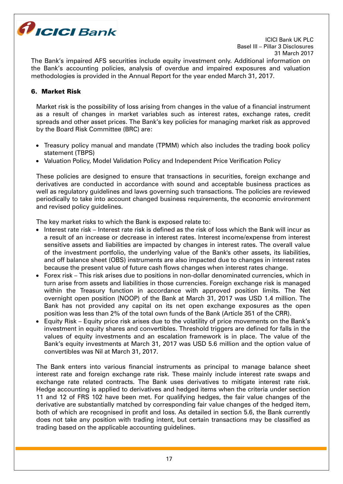

The Bank's impaired AFS securities include equity investment only. Additional information on the Bank's accounting policies, analysis of overdue and impaired exposures and valuation methodologies is provided in the Annual Report for the year ended March 31, 2017.

## 6. Market Risk

Market risk is the possibility of loss arising from changes in the value of a financial instrument as a result of changes in market variables such as interest rates, exchange rates, credit spreads and other asset prices. The Bank's key policies for managing market risk as approved by the Board Risk Committee (BRC) are:

- Treasury policy manual and mandate (TPMM) which also includes the trading book policy statement (TBPS)
- Valuation Policy, Model Validation Policy and Independent Price Verification Policy

These policies are designed to ensure that transactions in securities, foreign exchange and derivatives are conducted in accordance with sound and acceptable business practices as well as regulatory guidelines and laws governing such transactions. The policies are reviewed periodically to take into account changed business requirements, the economic environment and revised policy guidelines.

The key market risks to which the Bank is exposed relate to:

- Interest rate risk Interest rate risk is defined as the risk of loss which the Bank will incur as a result of an increase or decrease in interest rates. Interest income/expense from interest sensitive assets and liabilities are impacted by changes in interest rates. The overall value of the investment portfolio, the underlying value of the Bank's other assets, its liabilities, and off balance sheet (OBS) instruments are also impacted due to changes in interest rates because the present value of future cash flows changes when interest rates change.
- Forex risk This risk arises due to positions in non-dollar denominated currencies, which in turn arise from assets and liabilities in those currencies. Foreign exchange risk is managed within the Treasury function in accordance with approved position limits. The Net overnight open position (NOOP) of the Bank at March 31, 2017 was USD 1.4 million. The Bank has not provided any capital on its net open exchange exposures as the open position was less than 2% of the total own funds of the Bank (Article 351 of the CRR).
- Equity Risk Equity price risk arises due to the volatility of price movements on the Bank's investment in equity shares and convertibles. Threshold triggers are defined for falls in the values of equity investments and an escalation framework is in place. The value of the Bank's equity investments at March 31, 2017 was USD 5.6 million and the option value of convertibles was Nil at March 31, 2017.

The Bank enters into various financial instruments as principal to manage balance sheet interest rate and foreign exchange rate risk. These mainly include interest rate swaps and exchange rate related contracts. The Bank uses derivatives to mitigate interest rate risk. Hedge accounting is applied to derivatives and hedged items when the criteria under section 11 and 12 of FRS 102 have been met. For qualifying hedges, the fair value changes of the derivative are substantially matched by corresponding fair value changes of the hedged item, both of which are recognised in profit and loss. As detailed in section 5.6, the Bank currently does not take any position with trading intent, but certain transactions may be classified as trading based on the applicable accounting guidelines.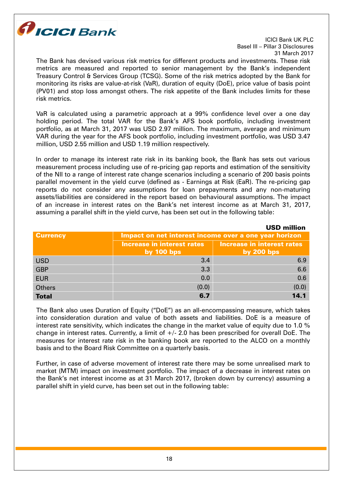

The Bank has devised various risk metrics for different products and investments. These risk metrics are measured and reported to senior management by the Bank's independent Treasury Control & Services Group (TCSG). Some of the risk metrics adopted by the Bank for monitoring its risks are value-at-risk (VaR), duration of equity (DoE), price value of basis point (PV01) and stop loss amongst others. The risk appetite of the Bank includes limits for these risk metrics.

VaR is calculated using a parametric approach at a 99% confidence level over a one day holding period. The total VAR for the Bank's AFS book portfolio, including investment portfolio, as at March 31, 2017 was USD 2.97 million. The maximum, average and minimum VAR during the year for the AFS book portfolio, including investment portfolio, was USD 3.47 million, USD 2.55 million and USD 1.19 million respectively.

In order to manage its interest rate risk in its banking book, the Bank has sets out various measurement process including use of re-pricing gap reports and estimation of the sensitivity of the NII to a range of interest rate change scenarios including a scenario of 200 basis points parallel movement in the yield curve (defined as - Earnings at Risk (EaR). The re-pricing gap reports do not consider any assumptions for loan prepayments and any non-maturing assets/liabilities are considered in the report based on behavioural assumptions. The impact of an increase in interest rates on the Bank's net interest income as at March 31, 2017, assuming a parallel shift in the yield curve, has been set out in the following table:

|                 |                                                       | <b>USD million</b>                                |  |
|-----------------|-------------------------------------------------------|---------------------------------------------------|--|
| <b>Currency</b> | Impact on net interest income over a one year horizon |                                                   |  |
|                 | Increase in interest rates<br>by $100$ bps            | <b>Increase in interest rates</b><br>by $200$ bps |  |
| <b>USD</b>      | 3.4                                                   | 6.9                                               |  |
| <b>GBP</b>      | 3.3                                                   | 6.6                                               |  |
| <b>EUR</b>      | 0.0                                                   | 0.6                                               |  |
| <b>Others</b>   | (0.0)                                                 | (0.0)                                             |  |
| <b>Total</b>    | 6.7                                                   | 14.1                                              |  |

The Bank also uses Duration of Equity ("DoE") as an all-encompassing measure, which takes into consideration duration and value of both assets and liabilities. DoE is a measure of interest rate sensitivity, which indicates the change in the market value of equity due to 1.0 % change in interest rates. Currently, a limit of  $+/$ - 2.0 has been prescribed for overall DoE. The measures for interest rate risk in the banking book are reported to the ALCO on a monthly basis and to the Board Risk Committee on a quarterly basis.

Further, in case of adverse movement of interest rate there may be some unrealised mark to market (MTM) impact on investment portfolio. The impact of a decrease in interest rates on the Bank's net interest income as at 31 March 2017, (broken down by currency) assuming a parallel shift in yield curve, has been set out in the following table: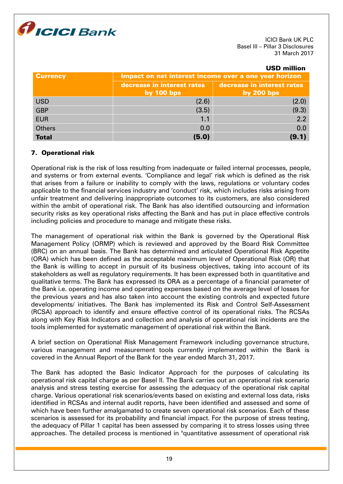

## USD million

| <b>Currency</b> | Impact on net interest income over a one year horizon |                                            |  |
|-----------------|-------------------------------------------------------|--------------------------------------------|--|
|                 | decrease in interest rates<br>by $100$ bps            | decrease in interest rates<br>by $200$ bps |  |
| <b>USD</b>      | (2.6)                                                 | (2.0)                                      |  |
| <b>GBP</b>      | (3.5)                                                 | (9.3)                                      |  |
| <b>EUR</b>      | 1.1                                                   | 2.2                                        |  |
| <b>Others</b>   | 0.0                                                   | 0.0                                        |  |
| <b>Total</b>    | (5.0)                                                 | (9.1)                                      |  |

## 7. Operational risk

Operational risk is the risk of loss resulting from inadequate or failed internal processes, people, and systems or from external events. 'Compliance and legal' risk which is defined as the risk that arises from a failure or inability to comply with the laws, regulations or voluntary codes applicable to the financial services industry and 'conduct' risk, which includes risks arising from unfair treatment and delivering inappropriate outcomes to its customers, are also considered within the ambit of operational risk. The Bank has also identified outsourcing and information security risks as key operational risks affecting the Bank and has put in place effective controls including policies and procedure to manage and mitigate these risks.

The management of operational risk within the Bank is governed by the Operational Risk Management Policy (ORMP) which is reviewed and approved by the Board Risk Committee (BRC) on an annual basis. The Bank has determined and articulated Operational Risk Appetite (ORA) which has been defined as the acceptable maximum level of Operational Risk (OR) that the Bank is willing to accept in pursuit of its business objectives, taking into account of its stakeholders as well as regulatory requirements. It has been expressed both in quantitative and qualitative terms. The Bank has expressed its ORA as a percentage of a financial parameter of the Bank i.e. operating income and operating expenses based on the average level of losses for the previous years and has also taken into account the existing controls and expected future developments/ initiatives. The Bank has implemented its Risk and Control Self-Assessment (RCSA) approach to identify and ensure effective control of its operational risks. The RCSAs along with Key Risk Indicators and collection and analysis of operational risk incidents are the tools implemented for systematic management of operational risk within the Bank.

A brief section on Operational Risk Management Framework including governance structure, various management and measurement tools currently implemented within the Bank is covered in the Annual Report of the Bank for the year ended March 31, 2017.

The Bank has adopted the Basic Indicator Approach for the purposes of calculating its operational risk capital charge as per Basel II. The Bank carries out an operational risk scenario analysis and stress testing exercise for assessing the adequacy of the operational risk capital charge. Various operational risk scenarios/events based on existing and external loss data, risks identified in RCSAs and internal audit reports, have been identified and assessed and some of which have been further amalgamated to create seven operational risk scenarios. Each of these scenarios is assessed for its probability and financial impact. For the purpose of stress testing, the adequacy of Pillar 1 capital has been assessed by comparing it to stress losses using three approaches. The detailed process is mentioned in "quantitative assessment of operational risk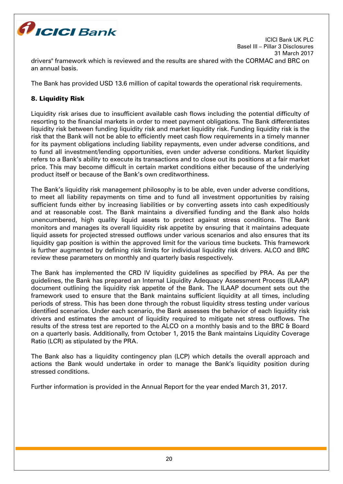

drivers" framework which is reviewed and the results are shared with the CORMAC and BRC on an annual basis.

The Bank has provided USD 13.6 million of capital towards the operational risk requirements.

# 8. Liquidity Risk

Liquidity risk arises due to insufficient available cash flows including the potential difficulty of resorting to the financial markets in order to meet payment obligations. The Bank differentiates liquidity risk between funding liquidity risk and market liquidity risk. Funding liquidity risk is the risk that the Bank will not be able to efficiently meet cash flow requirements in a timely manner for its payment obligations including liability repayments, even under adverse conditions, and to fund all investment/lending opportunities, even under adverse conditions. Market liquidity refers to a Bank's ability to execute its transactions and to close out its positions at a fair market price. This may become difficult in certain market conditions either because of the underlying product itself or because of the Bank's own creditworthiness.

The Bank's liquidity risk management philosophy is to be able, even under adverse conditions, to meet all liability repayments on time and to fund all investment opportunities by raising sufficient funds either by increasing liabilities or by converting assets into cash expeditiously and at reasonable cost. The Bank maintains a diversified funding and the Bank also holds unencumbered, high quality liquid assets to protect against stress conditions. The Bank monitors and manages its overall liquidity risk appetite by ensuring that it maintains adequate liquid assets for projected stressed outflows under various scenarios and also ensures that its liquidity gap position is within the approved limit for the various time buckets. This framework is further augmented by defining risk limits for individual liquidity risk drivers. ALCO and BRC review these parameters on monthly and quarterly basis respectively.

The Bank has implemented the CRD IV liquidity guidelines as specified by PRA. As per the guidelines, the Bank has prepared an Internal Liquidity Adequacy Assessment Process (ILAAP) document outlining the liquidity risk appetite of the Bank. The ILAAP document sets out the framework used to ensure that the Bank maintains sufficient liquidity at all times, including periods of stress. This has been done through the robust liquidity stress testing under various identified scenarios. Under each scenario, the Bank assesses the behavior of each liquidity risk drivers and estimates the amount of liquidity required to mitigate net stress outflows. The results of the stress test are reported to the ALCO on a monthly basis and to the BRC & Board on a quarterly basis. Additionally, from October 1, 2015 the Bank maintains Liquidity Coverage Ratio (LCR) as stipulated by the PRA.

The Bank also has a liquidity contingency plan (LCP) which details the overall approach and actions the Bank would undertake in order to manage the Bank's liquidity position during stressed conditions.

Further information is provided in the Annual Report for the year ended March 31, 2017.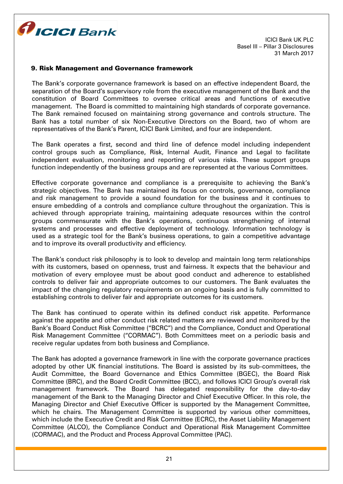

## 9. Risk Management and Governance framework

The Bank's corporate governance framework is based on an effective independent Board, the separation of the Board's supervisory role from the executive management of the Bank and the constitution of Board Committees to oversee critical areas and functions of executive management. The Board is committed to maintaining high standards of corporate governance. The Bank remained focused on maintaining strong governance and controls structure. The Bank has a total number of six Non-Executive Directors on the Board, two of whom are representatives of the Bank's Parent, ICICI Bank Limited, and four are independent.

The Bank operates a first, second and third line of defence model including independent control groups such as Compliance, Risk, Internal Audit, Finance and Legal to facilitate independent evaluation, monitoring and reporting of various risks. These support groups function independently of the business groups and are represented at the various Committees.

Effective corporate governance and compliance is a prerequisite to achieving the Bank's strategic objectives. The Bank has maintained its focus on controls, governance, compliance and risk management to provide a sound foundation for the business and it continues to ensure embedding of a controls and compliance culture throughout the organization. This is achieved through appropriate training, maintaining adequate resources within the control groups commensurate with the Bank's operations, continuous strengthening of internal systems and processes and effective deployment of technology. Information technology is used as a strategic tool for the Bank's business operations, to gain a competitive advantage and to improve its overall productivity and efficiency.

The Bank's conduct risk philosophy is to look to develop and maintain long term relationships with its customers, based on openness, trust and fairness. It expects that the behaviour and motivation of every employee must be about good conduct and adherence to established controls to deliver fair and appropriate outcomes to our customers. The Bank evaluates the impact of the changing regulatory requirements on an ongoing basis and is fully committed to establishing controls to deliver fair and appropriate outcomes for its customers.

The Bank has continued to operate within its defined conduct risk appetite. Performance against the appetite and other conduct risk related matters are reviewed and monitored by the Bank's Board Conduct Risk Committee ("BCRC") and the Compliance, Conduct and Operational Risk Management Committee ("CORMAC"). Both Committees meet on a periodic basis and receive regular updates from both business and Compliance.

The Bank has adopted a governance framework in line with the corporate governance practices adopted by other UK financial institutions. The Board is assisted by its sub-committees, the Audit Committee, the Board Governance and Ethics Committee (BGEC), the Board Risk Committee (BRC), and the Board Credit Committee (BCC), and follows ICICI Group's overall risk management framework. The Board has delegated responsibility for the day-to-day management of the Bank to the Managing Director and Chief Executive Officer. In this role, the Managing Director and Chief Executive Officer is supported by the Management Committee, which he chairs. The Management Committee is supported by various other committees, which include the Executive Credit and Risk Committee (ECRC), the Asset Liability Management Committee (ALCO), the Compliance Conduct and Operational Risk Management Committee (CORMAC), and the Product and Process Approval Committee (PAC).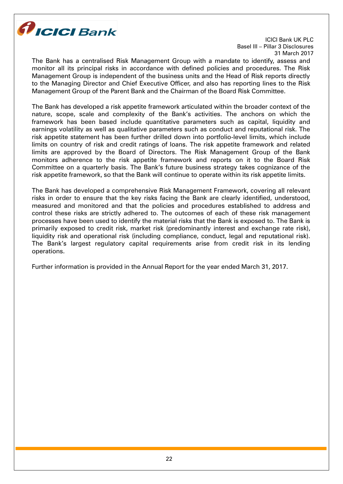

The Bank has a centralised Risk Management Group with a mandate to identify, assess and monitor all its principal risks in accordance with defined policies and procedures. The Risk Management Group is independent of the business units and the Head of Risk reports directly to the Managing Director and Chief Executive Officer, and also has reporting lines to the Risk Management Group of the Parent Bank and the Chairman of the Board Risk Committee.

The Bank has developed a risk appetite framework articulated within the broader context of the nature, scope, scale and complexity of the Bank's activities. The anchors on which the framework has been based include quantitative parameters such as capital, liquidity and earnings volatility as well as qualitative parameters such as conduct and reputational risk. The risk appetite statement has been further drilled down into portfolio-level limits, which include limits on country of risk and credit ratings of loans. The risk appetite framework and related limits are approved by the Board of Directors. The Risk Management Group of the Bank monitors adherence to the risk appetite framework and reports on it to the Board Risk Committee on a quarterly basis. The Bank's future business strategy takes cognizance of the risk appetite framework, so that the Bank will continue to operate within its risk appetite limits.

The Bank has developed a comprehensive Risk Management Framework, covering all relevant risks in order to ensure that the key risks facing the Bank are clearly identified, understood, measured and monitored and that the policies and procedures established to address and control these risks are strictly adhered to. The outcomes of each of these risk management processes have been used to identify the material risks that the Bank is exposed to. The Bank is primarily exposed to credit risk, market risk (predominantly interest and exchange rate risk), liquidity risk and operational risk (including compliance, conduct, legal and reputational risk). The Bank's largest regulatory capital requirements arise from credit risk in its lending operations.

Further information is provided in the Annual Report for the year ended March 31, 2017.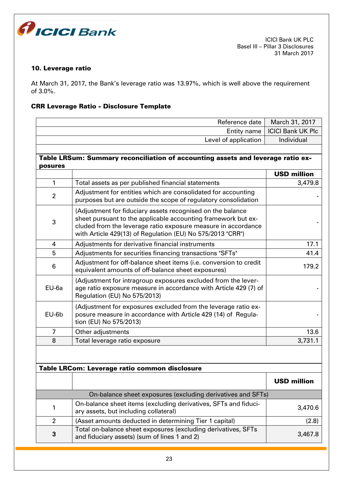

## 10. Leverage ratio

At March 31, 2017, the Bank's leverage ratio was 13.97%, which is well above the requirement of 3.0%.

# CRR Leverage Ratio - Disclosure Template

|                | Reference date                                                                                                                                                                                                                                             | March 31, 2017           |
|----------------|------------------------------------------------------------------------------------------------------------------------------------------------------------------------------------------------------------------------------------------------------------|--------------------------|
|                | Entity name                                                                                                                                                                                                                                                | <b>ICICI Bank UK Plc</b> |
|                | Level of application                                                                                                                                                                                                                                       | Individual               |
|                |                                                                                                                                                                                                                                                            |                          |
| posures        | Table LRSum: Summary reconciliation of accounting assets and leverage ratio ex-                                                                                                                                                                            |                          |
|                |                                                                                                                                                                                                                                                            | <b>USD million</b>       |
| $\mathbf{1}$   | Total assets as per published financial statements                                                                                                                                                                                                         | 3,479.8                  |
| $\overline{2}$ | Adjustment for entities which are consolidated for accounting<br>purposes but are outside the scope of regulatory consolidation                                                                                                                            |                          |
| 3              | (Adjustment for fiduciary assets recognised on the balance<br>sheet pursuant to the applicable accounting framework but ex-<br>cluded from the leverage ratio exposure measure in accordance<br>with Article 429(13) of Regulation (EU) No 575/2013 "CRR") |                          |
| 4              | Adjustments for derivative financial instruments                                                                                                                                                                                                           | 17.1                     |
| 5              | Adjustments for securities financing transactions "SFTs"                                                                                                                                                                                                   | 41.4                     |
| 6              | Adjustment for off-balance sheet items (i.e. conversion to credit<br>equivalent amounts of off-balance sheet exposures)                                                                                                                                    | 179.2                    |
| EU-6a          | (Adjustment for intragroup exposures excluded from the lever-<br>age ratio exposure measure in accordance with Article 429 (7) of<br>Regulation (EU) No 575/2013)                                                                                          |                          |
| $EU-6b$        | (Adjustment for exposures excluded from the leverage ratio ex-<br>posure measure in accordance with Article 429 (14) of Regula-<br>tion (EU) No 575/2013)                                                                                                  |                          |
| $\overline{7}$ | Other adjustments                                                                                                                                                                                                                                          | 13.6                     |
| 8              | Total leverage ratio exposure                                                                                                                                                                                                                              | 3,731.1                  |
|                |                                                                                                                                                                                                                                                            |                          |
|                | Table LRCom: Leverage ratio common disclosure                                                                                                                                                                                                              |                          |
|                |                                                                                                                                                                                                                                                            | <b>USD million</b>       |
|                | On-balance sheet exposures (excluding derivatives and SFTs)                                                                                                                                                                                                |                          |
| 1              | On-balance sheet items (excluding derivatives, SFTs and fiduci-<br>ary assets, but including collateral)                                                                                                                                                   | 3,470.6                  |
| $\overline{2}$ | (Asset amounts deducted in determining Tier 1 capital)                                                                                                                                                                                                     | (2.8)                    |
| 3              | Total on-balance sheet exposures (excluding derivatives, SFTs<br>and fiduciary assets) (sum of lines 1 and 2)                                                                                                                                              | 3,467.8                  |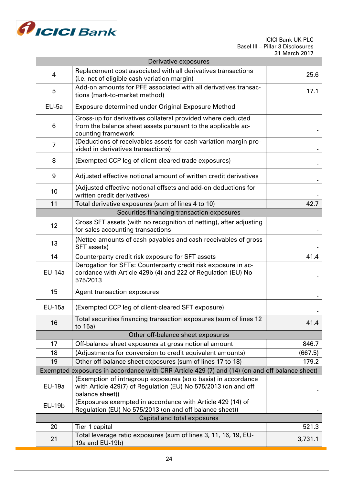

|                                                                                               | Derivative exposures                                                                                                                               |         |  |  |
|-----------------------------------------------------------------------------------------------|----------------------------------------------------------------------------------------------------------------------------------------------------|---------|--|--|
| 4                                                                                             | Replacement cost associated with all derivatives transactions<br>(i.e. net of eligible cash variation margin)                                      | 25.6    |  |  |
| 5                                                                                             | Add-on amounts for PFE associated with all derivatives transac-<br>tions (mark-to-market method)                                                   | 17.1    |  |  |
| $EU-5a$                                                                                       | Exposure determined under Original Exposure Method                                                                                                 |         |  |  |
| 6                                                                                             | Gross-up for derivatives collateral provided where deducted<br>from the balance sheet assets pursuant to the applicable ac-<br>counting framework  |         |  |  |
| $\overline{7}$                                                                                | (Deductions of receivables assets for cash variation margin pro-<br>vided in derivatives transactions)                                             |         |  |  |
| 8                                                                                             | (Exempted CCP leg of client-cleared trade exposures)                                                                                               |         |  |  |
| 9                                                                                             | Adjusted effective notional amount of written credit derivatives                                                                                   |         |  |  |
| 10                                                                                            | (Adjusted effective notional offsets and add-on deductions for<br>written credit derivatives)                                                      |         |  |  |
| 11                                                                                            | Total derivative exposures (sum of lines 4 to 10)                                                                                                  | 42.7    |  |  |
|                                                                                               | Securities financing transaction exposures                                                                                                         |         |  |  |
| 12                                                                                            | Gross SFT assets (with no recognition of netting), after adjusting<br>for sales accounting transactions                                            |         |  |  |
| 13                                                                                            | (Netted amounts of cash payables and cash receivables of gross<br>SFT assets)                                                                      |         |  |  |
| 14                                                                                            | Counterparty credit risk exposure for SFT assets                                                                                                   | 41.4    |  |  |
| <b>EU-14a</b>                                                                                 | Derogation for SFTs: Counterparty credit risk exposure in ac-<br>cordance with Article 429b (4) and 222 of Regulation (EU) No<br>575/2013          |         |  |  |
| 15                                                                                            | Agent transaction exposures                                                                                                                        |         |  |  |
| <b>EU-15a</b>                                                                                 | (Exempted CCP leg of client-cleared SFT exposure)                                                                                                  |         |  |  |
| 16                                                                                            | Total securities financing transaction exposures (sum of lines 12<br>to 15a)                                                                       | 41.4    |  |  |
| Other off-balance sheet exposures                                                             |                                                                                                                                                    |         |  |  |
| 17                                                                                            | Off-balance sheet exposures at gross notional amount                                                                                               | 846.7   |  |  |
| 18                                                                                            | (Adjustments for conversion to credit equivalent amounts)                                                                                          | (667.5) |  |  |
| 19                                                                                            | Other off-balance sheet exposures (sum of lines 17 to 18)                                                                                          | 179.2   |  |  |
| Exempted exposures in accordance with CRR Article 429 (7) and (14) (on and off balance sheet) |                                                                                                                                                    |         |  |  |
| <b>EU-19a</b>                                                                                 | (Exemption of intragroup exposures (solo basis) in accordance<br>with Article 429(7) of Regulation (EU) No 575/2013 (on and off<br>balance sheet)) |         |  |  |
| <b>EU-19b</b>                                                                                 | (Exposures exempted in accordance with Article 429 (14) of<br>Regulation (EU) No 575/2013 (on and off balance sheet))                              |         |  |  |
| Capital and total exposures                                                                   |                                                                                                                                                    |         |  |  |
| 20                                                                                            | Tier 1 capital                                                                                                                                     | 521.3   |  |  |
| 21                                                                                            | Total leverage ratio exposures (sum of lines 3, 11, 16, 19, EU-<br>19a and EU-19b)                                                                 | 3,731.1 |  |  |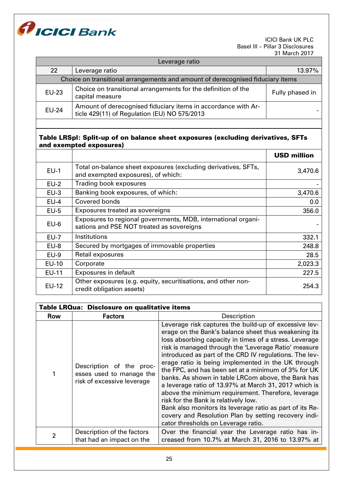

| Leverage ratio                                                                 |                                                                                                               |                 |  |  |
|--------------------------------------------------------------------------------|---------------------------------------------------------------------------------------------------------------|-----------------|--|--|
| 22                                                                             | Leverage ratio                                                                                                | 13.97%          |  |  |
| Choice on transitional arrangements and amount of derecognised fiduciary items |                                                                                                               |                 |  |  |
| <b>EU-23</b>                                                                   | Choice on transitional arrangements for the definition of the<br>capital measure                              | Fully phased in |  |  |
| <b>EU-24</b>                                                                   | Amount of derecognised fiduciary items in accordance with Ar-<br>ticle 429(11) of Regulation (EU) NO 575/2013 |                 |  |  |

# Table LRSpl: Split-up of on balance sheet exposures (excluding derivatives, SFTs and exempted exposures)

|              |                                                                                                            | <b>USD million</b> |
|--------------|------------------------------------------------------------------------------------------------------------|--------------------|
| $EU-1$       | Total on-balance sheet exposures (excluding derivatives, SFTs,<br>and exempted exposures), of which:       | 3,470.6            |
| $EU-2$       | Trading book exposures                                                                                     |                    |
| $EU-3$       | Banking book exposures, of which:                                                                          | 3,470.6            |
| $EU-4$       | Covered bonds                                                                                              | 0.0                |
| $EU-5$       | Exposures treated as sovereigns                                                                            | 356.0              |
| $EU-6$       | Exposures to regional governments, MDB, international organi-<br>sations and PSE NOT treated as sovereigns |                    |
| $EU-7$       | Institutions                                                                                               | 332.1              |
| $EU-8$       | Secured by mortgages of immovable properties                                                               | 248.8              |
| $EU-9$       | Retail exposures                                                                                           | 28.5               |
| $EU-10$      | Corporate                                                                                                  | 2,023.3            |
| <b>EU-11</b> | Exposures in default                                                                                       | 227.5              |
| <b>EU-12</b> | Other exposures (e.g. equity, securitisations, and other non-<br>credit obligation assets)                 | 254.3              |

| Table LRQua: Disclosure on qualitative items |                                                                                    |                                                                                                                                                                                                                                                                                                                                                                                                                                                                                                                                                                                                                                                                                                                                                                                |  |  |
|----------------------------------------------|------------------------------------------------------------------------------------|--------------------------------------------------------------------------------------------------------------------------------------------------------------------------------------------------------------------------------------------------------------------------------------------------------------------------------------------------------------------------------------------------------------------------------------------------------------------------------------------------------------------------------------------------------------------------------------------------------------------------------------------------------------------------------------------------------------------------------------------------------------------------------|--|--|
| Row                                          | <b>Factors</b>                                                                     | Description                                                                                                                                                                                                                                                                                                                                                                                                                                                                                                                                                                                                                                                                                                                                                                    |  |  |
| 1                                            | Description of the proc-<br>esses used to manage the<br>risk of excessive leverage | Leverage risk captures the build-up of excessive lev-<br>erage on the Bank's balance sheet thus weakening its<br>loss absorbing capacity in times of a stress. Leverage<br>risk is managed through the 'Leverage Ratio' measure<br>introduced as part of the CRD IV regulations. The lev-<br>erage ratio is being implemented in the UK through<br>the FPC, and has been set at a minimum of 3% for UK<br>banks. As shown in table LRCom above, the Bank has<br>a leverage ratio of 13.97% at March 31, 2017 which is<br>above the minimum requirement. Therefore, leverage<br>risk for the Bank is relatively low.<br>Bank also monitors its leverage ratio as part of its Re-<br>covery and Resolution Plan by setting recovery indi-<br>cator thresholds on Leverage ratio. |  |  |
| $\overline{2}$                               | Description of the factors<br>that had an impact on the                            | Over the financial year the Leverage ratio has in-<br>creased from 10.7% at March 31, 2016 to 13.97% at                                                                                                                                                                                                                                                                                                                                                                                                                                                                                                                                                                                                                                                                        |  |  |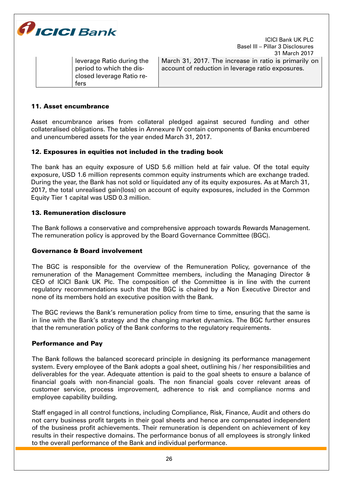

ICICI Bank UK PLC Basel III – Pillar 3 Disclosures 31 March 2017 March 31, 2017. The increase in ratio is primarily on account of reduction in leverage ratio exposures.

| leverage Ratio during the |
|---------------------------|
| period to which the dis-  |
| closed leverage Ratio re- |
| fers                      |

## 11. Asset encumbrance

Asset encumbrance arises from collateral pledged against secured funding and other collateralised obligations. The tables in Annexure IV contain components of Banks encumbered and unencumbered assets for the year ended March 31, 2017.

## 12. Exposures in equities not included in the trading book

The bank has an equity exposure of USD 5.6 million held at fair value. Of the total equity exposure, USD 1.6 million represents common equity instruments which are exchange traded. During the year, the Bank has not sold or liquidated any of its equity exposures. As at March 31, 2017, the total unrealised gain(loss) on account of equity exposures, included in the Common Equity Tier 1 capital was USD 0.3 million.

## 13. Remuneration disclosure

The Bank follows a conservative and comprehensive approach towards Rewards Management. The remuneration policy is approved by the Board Governance Committee (BGC).

## Governance & Board involvement

The BGC is responsible for the overview of the Remuneration Policy, governance of the remuneration of the Management Committee members, including the Managing Director & CEO of ICICI Bank UK Plc. The composition of the Committee is in line with the current regulatory recommendations such that the BGC is chaired by a Non Executive Director and none of its members hold an executive position with the Bank.

The BGC reviews the Bank's remuneration policy from time to time, ensuring that the same is in line with the Bank's strategy and the changing market dynamics. The BGC further ensures that the remuneration policy of the Bank conforms to the regulatory requirements.

## Performance and Pay

The Bank follows the balanced scorecard principle in designing its performance management system. Every employee of the Bank adopts a goal sheet, outlining his / her responsibilities and deliverables for the year. Adequate attention is paid to the goal sheets to ensure a balance of financial goals with non-financial goals. The non financial goals cover relevant areas of customer service, process improvement, adherence to risk and compliance norms and employee capability building.

Staff engaged in all control functions, including Compliance, Risk, Finance, Audit and others do not carry business profit targets in their goal sheets and hence are compensated independent of the business profit achievements. Their remuneration is dependent on achievement of key results in their respective domains. The performance bonus of all employees is strongly linked to the overall performance of the Bank and individual performance.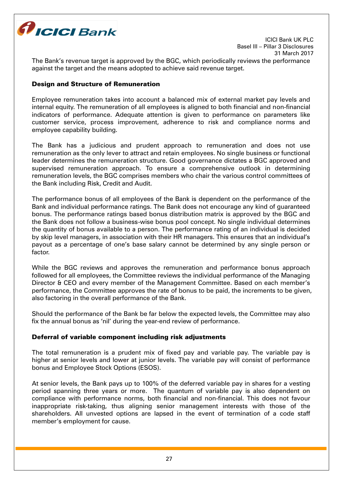

The Bank's revenue target is approved by the BGC, which periodically reviews the performance against the target and the means adopted to achieve said revenue target.

## Design and Structure of Remuneration

Employee remuneration takes into account a balanced mix of external market pay levels and internal equity. The remuneration of all employees is aligned to both financial and non-financial indicators of performance. Adequate attention is given to performance on parameters like customer service, process improvement, adherence to risk and compliance norms and employee capability building.

The Bank has a judicious and prudent approach to remuneration and does not use remuneration as the only lever to attract and retain employees. No single business or functional leader determines the remuneration structure. Good governance dictates a BGC approved and supervised remuneration approach. To ensure a comprehensive outlook in determining remuneration levels, the BGC comprises members who chair the various control committees of the Bank including Risk, Credit and Audit.

The performance bonus of all employees of the Bank is dependent on the performance of the Bank and individual performance ratings. The Bank does not encourage any kind of guaranteed bonus. The performance ratings based bonus distribution matrix is approved by the BGC and the Bank does not follow a business-wise bonus pool concept. No single individual determines the quantity of bonus available to a person. The performance rating of an individual is decided by skip level managers, in association with their HR managers. This ensures that an individual's payout as a percentage of one's base salary cannot be determined by any single person or factor.

While the BGC reviews and approves the remuneration and performance bonus approach followed for all employees, the Committee reviews the individual performance of the Managing Director & CEO and every member of the Management Committee. Based on each member's performance, the Committee approves the rate of bonus to be paid, the increments to be given, also factoring in the overall performance of the Bank.

Should the performance of the Bank be far below the expected levels, the Committee may also fix the annual bonus as 'nil' during the year-end review of performance.

## Deferral of variable component including risk adjustments

The total remuneration is a prudent mix of fixed pay and variable pay. The variable pay is higher at senior levels and lower at junior levels. The variable pay will consist of performance bonus and Employee Stock Options (ESOS).

At senior levels, the Bank pays up to 100% of the deferred variable pay in shares for a vesting period spanning three years or more. The quantum of variable pay is also dependent on compliance with performance norms, both financial and non-financial. This does not favour inappropriate risk-taking, thus aligning senior management interests with those of the shareholders. All unvested options are lapsed in the event of termination of a code staff member's employment for cause.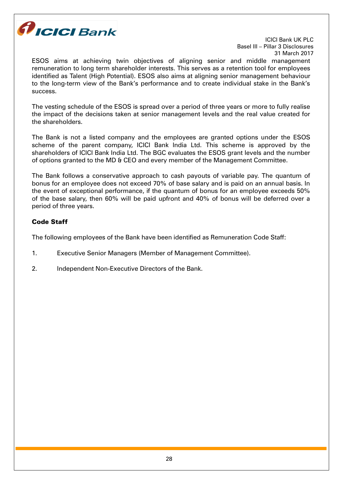

ESOS aims at achieving twin objectives of aligning senior and middle management remuneration to long term shareholder interests. This serves as a retention tool for employees identified as Talent (High Potential). ESOS also aims at aligning senior management behaviour to the long-term view of the Bank's performance and to create individual stake in the Bank's success.

The vesting schedule of the ESOS is spread over a period of three years or more to fully realise the impact of the decisions taken at senior management levels and the real value created for the shareholders.

The Bank is not a listed company and the employees are granted options under the ESOS scheme of the parent company, ICICI Bank India Ltd. This scheme is approved by the shareholders of ICICI Bank India Ltd. The BGC evaluates the ESOS grant levels and the number of options granted to the MD & CEO and every member of the Management Committee.

The Bank follows a conservative approach to cash payouts of variable pay. The quantum of bonus for an employee does not exceed 70% of base salary and is paid on an annual basis. In the event of exceptional performance, if the quantum of bonus for an employee exceeds 50% of the base salary, then 60% will be paid upfront and 40% of bonus will be deferred over a period of three years.

# Code Staff

The following employees of the Bank have been identified as Remuneration Code Staff:

- 1. Executive Senior Managers (Member of Management Committee).
- 2. Independent Non-Executive Directors of the Bank.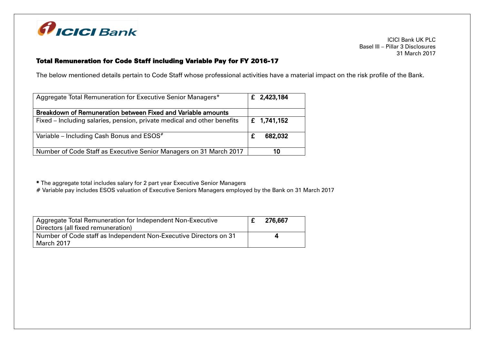

# Total Remuneration for Code Staff including Variable Pay for FY 2016-17

The below mentioned details pertain to Code Staff whose professional activities have a material impact on the risk profile of the Bank.

| Aggregate Total Remuneration for Executive Senior Managers*             | £ 2,423,184 |
|-------------------------------------------------------------------------|-------------|
| Breakdown of Remuneration between Fixed and Variable amounts            |             |
| Fixed - Including salaries, pension, private medical and other benefits | £ 1,741,152 |
| Variable – Including Cash Bonus and $ESOS^*$                            | 682,032     |
| Number of Code Staff as Executive Senior Managers on 31 March 2017      | 10          |

\* The aggregate total includes salary for 2 part year Executive Senior Managers

# Variable pay includes ESOS valuation of Executive Seniors Managers employed by the Bank on 31 March 2017

| Aggregate Total Remuneration for Independent Non-Executive<br>Directors (all fixed remuneration) | 276,667 |
|--------------------------------------------------------------------------------------------------|---------|
| Number of Code staff as Independent Non-Executive Directors on 31<br>March 2017                  |         |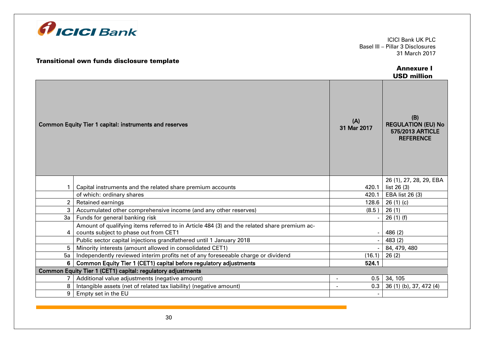

## Transitional own funds disclosure template

## Annexure I USD million

|                                                             |                                                                                             |                       | UJD IIIIIIUII                                                            |
|-------------------------------------------------------------|---------------------------------------------------------------------------------------------|-----------------------|--------------------------------------------------------------------------|
|                                                             | <b>Common Equity Tier 1 capital: instruments and reserves</b>                               | (A)<br>31 Mar 2017    | (B)<br><b>REGULATION (EU) No</b><br>575/2013 ARTICLE<br><b>REFERENCE</b> |
|                                                             |                                                                                             |                       | 26 (1), 27, 28, 29, EBA                                                  |
|                                                             | Capital instruments and the related share premium accounts                                  | 420.1                 | list 26 (3)                                                              |
|                                                             | of which: ordinary shares                                                                   | 420.1                 | EBA list 26 (3)                                                          |
| 2 <sup>1</sup>                                              | Retained earnings                                                                           | 128.6                 | 26(1)(c)                                                                 |
| 3                                                           | Accumulated other comprehensive income (and any other reserves)                             | (8.5)                 | 26(1)                                                                    |
| 3a                                                          | Funds for general banking risk                                                              |                       | 26 (1) (f)                                                               |
|                                                             | Amount of qualifying items referred to in Article 484 (3) and the related share premium ac- |                       |                                                                          |
| 4                                                           | counts subject to phase out from CET1                                                       |                       | 486 (2)                                                                  |
|                                                             | Public sector capital injections grandfathered until 1 January 2018                         |                       | 483 (2)                                                                  |
| 5                                                           | Minority interests (amount allowed in consolidated CET1)                                    |                       | 84, 479, 480                                                             |
| 5a                                                          | Independently reviewed interim profits net of any foreseeable charge or dividend            | (16.1)                | 26(2)                                                                    |
| 6                                                           | Common Equity Tier 1 (CET1) capital before regulatory adjustments                           | 524.1                 |                                                                          |
| Common Equity Tier 1 (CET1) capital: regulatory adjustments |                                                                                             |                       |                                                                          |
|                                                             | Additional value adjustments (negative amount)                                              | 0.5<br>$\blacksquare$ | 34, 105                                                                  |
| 8                                                           | Intangible assets (net of related tax liability) (negative amount)                          | 0.3                   | 36 (1) (b), 37, 472 (4)                                                  |
| 9                                                           | Empty set in the EU                                                                         |                       |                                                                          |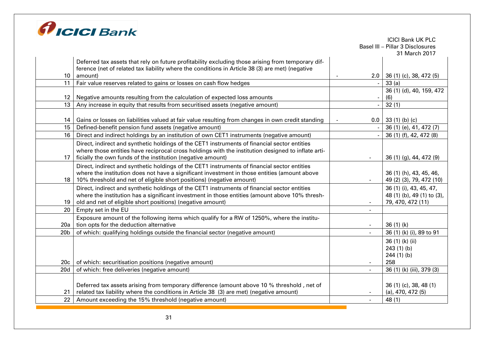

|                 |                                                                                                    |                          | <b>ICICI Bank UK PLC</b>         |
|-----------------|----------------------------------------------------------------------------------------------------|--------------------------|----------------------------------|
|                 |                                                                                                    |                          | Basel III - Pillar 3 Disclosures |
|                 |                                                                                                    |                          | 31 March 2017                    |
|                 | Deferred tax assets that rely on future profitability excluding those arising from temporary dif-  |                          |                                  |
|                 | ference (net of related tax liability where the conditions in Article 38 (3) are met) (negative    |                          |                                  |
| 10 <sup>°</sup> | amount)                                                                                            | 2.0                      | 36 (1) (c), 38, 472 (5)          |
| 11              | Fair value reserves related to gains or losses on cash flow hedges                                 |                          | 33(a)                            |
|                 |                                                                                                    |                          | 36 (1) (d), 40, 159, 472         |
| 12 <sup>°</sup> | Negative amounts resulting from the calculation of expected loss amounts                           |                          | (6)                              |
| 13              | Any increase in equity that results from securitised assets (negative amount)                      |                          | 32(1)                            |
|                 |                                                                                                    |                          |                                  |
| 14              | Gains or losses on liabilities valued at fair value resulting from changes in own credit standing  | 0.0                      | 33(1) (b) (c)                    |
| 15              | Defined-benefit pension fund assets (negative amount)                                              |                          | 36 (1) (e), 41, 472 (7)          |
| 16              | Direct and indirect holdings by an institution of own CET1 instruments (negative amount)           |                          | 36 (1) (f), 42, 472 (8)          |
|                 | Direct, indirect and synthetic holdings of the CET1 instruments of financial sector entities       |                          |                                  |
|                 | where those entities have reciprocal cross holdings with the institution designed to inflate arti- |                          |                                  |
| 17              | ficially the own funds of the institution (negative amount)                                        |                          | 36 (1) (g), 44, 472 (9)          |
|                 | Direct, indirect and synthetic holdings of the CET1 instruments of financial sector entities       |                          |                                  |
|                 | where the institution does not have a significant investment in those entities (amount above       |                          | 36 (1) (h), 43, 45, 46,          |
| 18              | 10% threshold and net of eligible short positions) (negative amount)                               |                          | 49 (2) (3), 79, 472 (10)         |
|                 | Direct, indirect and synthetic holdings of the CET1 instruments of financial sector entities       |                          | 36 (1) (i), 43, 45, 47,          |
|                 | where the institution has a significant investment in those entities (amount above 10% thresh-     |                          | 48 (1) (b), 49 (1) to (3),       |
| 19              | old and net of eligible short positions) (negative amount)                                         |                          | 79, 470, 472 (11)                |
| 20              | Empty set in the EU                                                                                |                          |                                  |
|                 | Exposure amount of the following items which qualify for a RW of 1250%, where the institu-         |                          |                                  |
| 20a             | tion opts for the deduction alternative                                                            |                          | 36(1)(k)                         |
| 20 <sub>b</sub> | of which: qualifying holdings outside the financial sector (negative amount)                       |                          | 36 (1) (k) (i), 89 to 91         |
|                 |                                                                                                    |                          | 36 (1) (k) (ii)                  |
|                 |                                                                                                    |                          | 243(1)(b)                        |
|                 |                                                                                                    |                          | $244(1)$ (b)                     |
| 20c             | of which: securitisation positions (negative amount)                                               | $\overline{\phantom{a}}$ | 258                              |
| 20d             | of which: free deliveries (negative amount)                                                        | $\blacksquare$           | 36 (1) (k) (iii), 379 (3)        |
|                 |                                                                                                    |                          |                                  |
|                 | Deferred tax assets arising from temporary difference (amount above 10 % threshold, net of         |                          | 36 (1) (c), 38, 48 (1)           |
| 21              | related tax liability where the conditions in Article 38 (3) are met) (negative amount)            |                          | $(a)$ , 470, 472 $(5)$           |
| 22              | Amount exceeding the 15% threshold (negative amount)                                               |                          | 48(1)                            |
|                 |                                                                                                    |                          |                                  |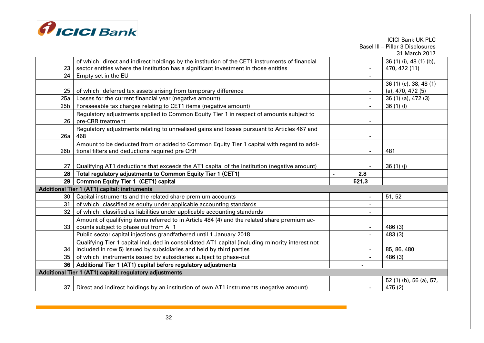

|                 |                                                                                                 |                          | <b>ICICI Bank UK PLC</b>         |
|-----------------|-------------------------------------------------------------------------------------------------|--------------------------|----------------------------------|
|                 |                                                                                                 |                          | Basel III - Pillar 3 Disclosures |
|                 |                                                                                                 |                          | 31 March 2017                    |
|                 | of which: direct and indirect holdings by the institution of the CET1 instruments of financial  |                          | 36 (1) (i), 48 (1) (b),          |
| 23              | sector entities where the institution has a significant investment in those entities            |                          | 470, 472 (11)                    |
| 24              | Empty set in the EU                                                                             |                          |                                  |
|                 |                                                                                                 |                          | 36 (1) (c), 38, 48 (1)           |
| 25              | of which: deferred tax assets arising from temporary difference                                 |                          | $(a)$ , 470, 472 $(5)$           |
| 25a             | Losses for the current financial year (negative amount)                                         | $\overline{\phantom{a}}$ | 36 (1) (a), 472 (3)              |
| 25 <sub>b</sub> | Foreseeable tax charges relating to CET1 items (negative amount)                                | $\overline{\phantom{0}}$ | 36(1)(1)                         |
|                 | Regulatory adjustments applied to Common Equity Tier 1 in respect of amounts subject to         |                          |                                  |
| 26              | pre-CRR treatment                                                                               |                          |                                  |
|                 | Regulatory adjustments relating to unrealised gains and losses pursuant to Articles 467 and     |                          |                                  |
| 26a             | 468                                                                                             |                          |                                  |
|                 | Amount to be deducted from or added to Common Equity Tier 1 capital with regard to addi-        |                          |                                  |
| 26b             | tional filters and deductions required pre CRR                                                  |                          | 481                              |
|                 |                                                                                                 |                          |                                  |
| 27              | Qualifying AT1 deductions that exceeds the AT1 capital of the institution (negative amount)     |                          | 36(1)(i)                         |
| 28              | Total regulatory adjustments to Common Equity Tier 1 (CET1)                                     | 2.8                      |                                  |
| 29              | <b>Common Equity Tier 1 (CET1) capital</b>                                                      | 521.3                    |                                  |
|                 | Additional Tier 1 (AT1) capital: instruments                                                    |                          |                                  |
| 30 <sub>1</sub> | Capital instruments and the related share premium accounts                                      | $\blacksquare$           | 51,52                            |
| 31              | of which: classified as equity under applicable accounting standards                            | $\overline{a}$           |                                  |
| 32 <sup>2</sup> | of which: classified as liabilities under applicable accounting standards                       | $\overline{\phantom{0}}$ |                                  |
|                 | Amount of qualifying items referred to in Article 484 (4) and the related share premium ac-     |                          |                                  |
| 33              | counts subject to phase out from AT1                                                            |                          | 486 (3)                          |
|                 | Public sector capital injections grandfathered until 1 January 2018                             |                          | 483 (3)                          |
|                 | Qualifying Tier 1 capital included in consolidated AT1 capital (including minority interest not |                          |                                  |
| 34              | included in row 5) issued by subsidiaries and held by third parties                             | $\overline{\phantom{a}}$ | 85, 86, 480                      |
| 35 <sup>1</sup> | of which: instruments issued by subsidiaries subject to phase-out                               | $\overline{\phantom{0}}$ | 486 (3)                          |
|                 | 36 Additional Tier 1 (AT1) capital before regulatory adjustments                                |                          |                                  |
|                 | Additional Tier 1 (AT1) capital: regulatory adjustments                                         |                          |                                  |
|                 |                                                                                                 |                          | 52 (1) (b), 56 (a), 57,          |
| 37              | Direct and indirect holdings by an institution of own AT1 instruments (negative amount)         |                          | 475(2)                           |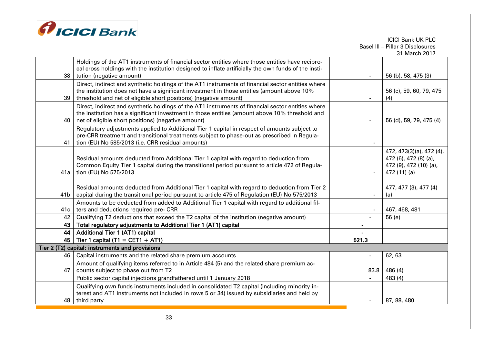

|                                                                                                      |                                                                                                                                                                                                                                                                                                                                                                                                                                                                                                                                                                                                                                                                                                                                                                                                                                                                                                                                                                                                                                                                                                                                                                                 | <b>ICICI Bank UK PLC</b>         |
|------------------------------------------------------------------------------------------------------|---------------------------------------------------------------------------------------------------------------------------------------------------------------------------------------------------------------------------------------------------------------------------------------------------------------------------------------------------------------------------------------------------------------------------------------------------------------------------------------------------------------------------------------------------------------------------------------------------------------------------------------------------------------------------------------------------------------------------------------------------------------------------------------------------------------------------------------------------------------------------------------------------------------------------------------------------------------------------------------------------------------------------------------------------------------------------------------------------------------------------------------------------------------------------------|----------------------------------|
|                                                                                                      |                                                                                                                                                                                                                                                                                                                                                                                                                                                                                                                                                                                                                                                                                                                                                                                                                                                                                                                                                                                                                                                                                                                                                                                 | Basel III - Pillar 3 Disclosures |
|                                                                                                      |                                                                                                                                                                                                                                                                                                                                                                                                                                                                                                                                                                                                                                                                                                                                                                                                                                                                                                                                                                                                                                                                                                                                                                                 | 31 March 2017                    |
| Holdings of the AT1 instruments of financial sector entities where those entities have recipro-      |                                                                                                                                                                                                                                                                                                                                                                                                                                                                                                                                                                                                                                                                                                                                                                                                                                                                                                                                                                                                                                                                                                                                                                                 |                                  |
| cal cross holdings with the institution designed to inflate artificially the own funds of the insti- |                                                                                                                                                                                                                                                                                                                                                                                                                                                                                                                                                                                                                                                                                                                                                                                                                                                                                                                                                                                                                                                                                                                                                                                 |                                  |
|                                                                                                      |                                                                                                                                                                                                                                                                                                                                                                                                                                                                                                                                                                                                                                                                                                                                                                                                                                                                                                                                                                                                                                                                                                                                                                                 | 56 (b), 58, 475 (3)              |
| Direct, indirect and synthetic holdings of the AT1 instruments of financial sector entities where    |                                                                                                                                                                                                                                                                                                                                                                                                                                                                                                                                                                                                                                                                                                                                                                                                                                                                                                                                                                                                                                                                                                                                                                                 |                                  |
|                                                                                                      |                                                                                                                                                                                                                                                                                                                                                                                                                                                                                                                                                                                                                                                                                                                                                                                                                                                                                                                                                                                                                                                                                                                                                                                 | 56 (c), 59, 60, 79, 475          |
|                                                                                                      |                                                                                                                                                                                                                                                                                                                                                                                                                                                                                                                                                                                                                                                                                                                                                                                                                                                                                                                                                                                                                                                                                                                                                                                 | (4)                              |
| Direct, indirect and synthetic holdings of the AT1 instruments of financial sector entities where    |                                                                                                                                                                                                                                                                                                                                                                                                                                                                                                                                                                                                                                                                                                                                                                                                                                                                                                                                                                                                                                                                                                                                                                                 |                                  |
|                                                                                                      |                                                                                                                                                                                                                                                                                                                                                                                                                                                                                                                                                                                                                                                                                                                                                                                                                                                                                                                                                                                                                                                                                                                                                                                 |                                  |
|                                                                                                      |                                                                                                                                                                                                                                                                                                                                                                                                                                                                                                                                                                                                                                                                                                                                                                                                                                                                                                                                                                                                                                                                                                                                                                                 | 56 (d), 59, 79, 475 (4)          |
| Regulatory adjustments applied to Additional Tier 1 capital in respect of amounts subject to         |                                                                                                                                                                                                                                                                                                                                                                                                                                                                                                                                                                                                                                                                                                                                                                                                                                                                                                                                                                                                                                                                                                                                                                                 |                                  |
|                                                                                                      |                                                                                                                                                                                                                                                                                                                                                                                                                                                                                                                                                                                                                                                                                                                                                                                                                                                                                                                                                                                                                                                                                                                                                                                 |                                  |
|                                                                                                      | $\blacksquare$                                                                                                                                                                                                                                                                                                                                                                                                                                                                                                                                                                                                                                                                                                                                                                                                                                                                                                                                                                                                                                                                                                                                                                  |                                  |
|                                                                                                      |                                                                                                                                                                                                                                                                                                                                                                                                                                                                                                                                                                                                                                                                                                                                                                                                                                                                                                                                                                                                                                                                                                                                                                                 | 472, 473(3)(a), 472 (4),         |
| Residual amounts deducted from Additional Tier 1 capital with regard to deduction from               |                                                                                                                                                                                                                                                                                                                                                                                                                                                                                                                                                                                                                                                                                                                                                                                                                                                                                                                                                                                                                                                                                                                                                                                 | 472 (6), 472 (8) (a),            |
| Common Equity Tier 1 capital during the transitional period pursuant to article 472 of Regula-       |                                                                                                                                                                                                                                                                                                                                                                                                                                                                                                                                                                                                                                                                                                                                                                                                                                                                                                                                                                                                                                                                                                                                                                                 | 472 (9), 472 (10) (a),           |
|                                                                                                      |                                                                                                                                                                                                                                                                                                                                                                                                                                                                                                                                                                                                                                                                                                                                                                                                                                                                                                                                                                                                                                                                                                                                                                                 | 472 (11) (a)                     |
|                                                                                                      |                                                                                                                                                                                                                                                                                                                                                                                                                                                                                                                                                                                                                                                                                                                                                                                                                                                                                                                                                                                                                                                                                                                                                                                 |                                  |
| Residual amounts deducted from Additional Tier 1 capital with regard to deduction from Tier 2        |                                                                                                                                                                                                                                                                                                                                                                                                                                                                                                                                                                                                                                                                                                                                                                                                                                                                                                                                                                                                                                                                                                                                                                                 | 477, 477 (3), 477 (4)            |
|                                                                                                      |                                                                                                                                                                                                                                                                                                                                                                                                                                                                                                                                                                                                                                                                                                                                                                                                                                                                                                                                                                                                                                                                                                                                                                                 | (a)                              |
|                                                                                                      |                                                                                                                                                                                                                                                                                                                                                                                                                                                                                                                                                                                                                                                                                                                                                                                                                                                                                                                                                                                                                                                                                                                                                                                 |                                  |
|                                                                                                      |                                                                                                                                                                                                                                                                                                                                                                                                                                                                                                                                                                                                                                                                                                                                                                                                                                                                                                                                                                                                                                                                                                                                                                                 | 467, 468, 481                    |
|                                                                                                      |                                                                                                                                                                                                                                                                                                                                                                                                                                                                                                                                                                                                                                                                                                                                                                                                                                                                                                                                                                                                                                                                                                                                                                                 | 56 (e)                           |
|                                                                                                      |                                                                                                                                                                                                                                                                                                                                                                                                                                                                                                                                                                                                                                                                                                                                                                                                                                                                                                                                                                                                                                                                                                                                                                                 |                                  |
|                                                                                                      |                                                                                                                                                                                                                                                                                                                                                                                                                                                                                                                                                                                                                                                                                                                                                                                                                                                                                                                                                                                                                                                                                                                                                                                 |                                  |
|                                                                                                      |                                                                                                                                                                                                                                                                                                                                                                                                                                                                                                                                                                                                                                                                                                                                                                                                                                                                                                                                                                                                                                                                                                                                                                                 |                                  |
|                                                                                                      |                                                                                                                                                                                                                                                                                                                                                                                                                                                                                                                                                                                                                                                                                                                                                                                                                                                                                                                                                                                                                                                                                                                                                                                 |                                  |
|                                                                                                      | $\blacksquare$                                                                                                                                                                                                                                                                                                                                                                                                                                                                                                                                                                                                                                                                                                                                                                                                                                                                                                                                                                                                                                                                                                                                                                  | 62,63                            |
| Amount of qualifying items referred to in Article 484 (5) and the related share premium ac-          |                                                                                                                                                                                                                                                                                                                                                                                                                                                                                                                                                                                                                                                                                                                                                                                                                                                                                                                                                                                                                                                                                                                                                                                 |                                  |
|                                                                                                      |                                                                                                                                                                                                                                                                                                                                                                                                                                                                                                                                                                                                                                                                                                                                                                                                                                                                                                                                                                                                                                                                                                                                                                                 | 486 (4)                          |
| Public sector capital injections grandfathered until 1 January 2018                                  |                                                                                                                                                                                                                                                                                                                                                                                                                                                                                                                                                                                                                                                                                                                                                                                                                                                                                                                                                                                                                                                                                                                                                                                 | 483 (4)                          |
| Qualifying own funds instruments included in consolidated T2 capital (including minority in-         |                                                                                                                                                                                                                                                                                                                                                                                                                                                                                                                                                                                                                                                                                                                                                                                                                                                                                                                                                                                                                                                                                                                                                                                 |                                  |
| terest and AT1 instruments not included in rows 5 or 34) issued by subsidiaries and held by          |                                                                                                                                                                                                                                                                                                                                                                                                                                                                                                                                                                                                                                                                                                                                                                                                                                                                                                                                                                                                                                                                                                                                                                                 |                                  |
| third party                                                                                          |                                                                                                                                                                                                                                                                                                                                                                                                                                                                                                                                                                                                                                                                                                                                                                                                                                                                                                                                                                                                                                                                                                                                                                                 | 87, 88, 480                      |
|                                                                                                      | tution (negative amount)<br>the institution does not have a significant investment in those entities (amount above 10%<br>threshold and net of eligible short positions) (negative amount)<br>the institution has a significant investment in those entities (amount above 10% threshold and<br>net of eligible short positions) (negative amount)<br>pre-CRR treatment and transitional treatments subject to phase-out as prescribed in Regula-<br>tion (EU) No 585/2013 (i.e. CRR residual amounts)<br>tion (EU) No 575/2013<br>capital during the transitional period pursuant to article 475 of Regulation (EU) No 575/2013<br>Amounts to be deducted from added to Additional Tier 1 capital with regard to additional fil-<br>ters and deductions required pre- CRR<br>Qualifying T2 deductions that exceed the T2 capital of the institution (negative amount)<br>Total regulatory adjustments to Additional Tier 1 (AT1) capital<br><b>Additional Tier 1 (AT1) capital</b><br>Tier 1 capital (T1 = CET1 + AT1)<br>Tier 2 (T2) capital: instruments and provisions<br>Capital instruments and the related share premium accounts<br>counts subject to phase out from T2 | 521.3<br>83.8                    |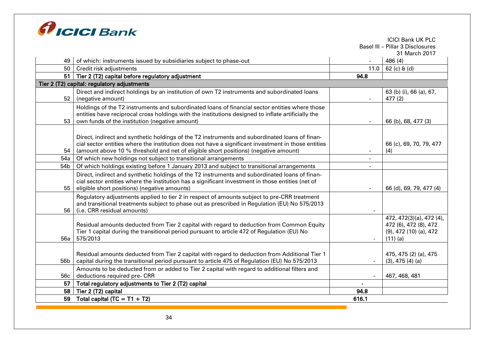

|                 |                                                                                                                                                                                          |                          | <b>ICICI Bank UK PLC</b>                                |
|-----------------|------------------------------------------------------------------------------------------------------------------------------------------------------------------------------------------|--------------------------|---------------------------------------------------------|
|                 |                                                                                                                                                                                          |                          | Basel III - Pillar 3 Disclosures                        |
|                 |                                                                                                                                                                                          |                          | 31 March 2017                                           |
| 49              | of which: instruments issued by subsidiaries subject to phase-out                                                                                                                        |                          | 486 (4)                                                 |
| 50              | Credit risk adjustments                                                                                                                                                                  | 11.0                     | $62$ (c) $6$ (d)                                        |
| 51              | Tier 2 (T2) capital before regulatory adjustment                                                                                                                                         | 94.8                     |                                                         |
|                 | Tier 2 (T2) capital: regulatory adjustments                                                                                                                                              |                          |                                                         |
|                 | Direct and indirect holdings by an institution of own T2 instruments and subordinated loans                                                                                              |                          | 63 (b) (i), 66 (a), 67,                                 |
| 52              | (negative amount)                                                                                                                                                                        |                          | 477(2)                                                  |
|                 | Holdings of the T2 instruments and subordinated loans of financial sector entities where those                                                                                           |                          |                                                         |
|                 | entities have reciprocal cross holdings with the institutions designed to inflate artificially the                                                                                       |                          |                                                         |
| 53              | own funds of the institution (negative amount)                                                                                                                                           |                          | 66 (b), 68, 477 (3)                                     |
|                 |                                                                                                                                                                                          |                          |                                                         |
|                 | Direct, indirect and synthetic holdings of the T2 instruments and subordinated loans of finan-                                                                                           |                          |                                                         |
|                 | cial sector entities where the institution does not have a significant investment in those entities                                                                                      |                          | 66 (c), 69, 70, 79, 477                                 |
| 54              | (amount above 10 % threshold and net of eligible short positions) (negative amount)                                                                                                      |                          | (4)                                                     |
| 54a             | Of which new holdings not subject to transitional arrangements                                                                                                                           | $\overline{a}$           |                                                         |
| 54 <sub>b</sub> | Of which holdings existing before 1 January 2013 and subject to transitional arrangements                                                                                                | ٠                        |                                                         |
|                 | Direct, indirect and synthetic holdings of the T2 instruments and subordinated loans of finan-                                                                                           |                          |                                                         |
|                 | cial sector entities where the institution has a significant investment in those entities (net of                                                                                        |                          |                                                         |
| 55              | eligible short positions) (negative amounts)                                                                                                                                             |                          | 66 (d), 69, 79, 477 (4)                                 |
|                 | Regulatory adjustments applied to tier 2 in respect of amounts subject to pre-CRR treatment                                                                                              |                          |                                                         |
|                 | and transitional treatments subject to phase out as prescribed in Regulation (EU) No 575/2013                                                                                            |                          |                                                         |
| 56              | (i.e. CRR residual amounts)                                                                                                                                                              |                          |                                                         |
|                 |                                                                                                                                                                                          |                          | 472, 472(3)(a), 472 (4),                                |
|                 | Residual amounts deducted from Tier 2 capital with regard to deduction from Common Equity<br>Tier 1 capital during the transitional period pursuant to article 472 of Regulation (EU) No |                          | 472 (6), 472 (8), 472<br>$(9)$ , 472 $(10)$ $(a)$ , 472 |
| 56a             | 575/2013                                                                                                                                                                                 | $\overline{\phantom{a}}$ | $(11)$ (a)                                              |
|                 |                                                                                                                                                                                          |                          |                                                         |
|                 | Residual amounts deducted from Tier 2 capital with regard to deduction from Additional Tier 1                                                                                            |                          | 475, 475 (2) (a), 475                                   |
| 56 <sub>b</sub> | capital during the transitional period pursuant to article 475 of Regulation (EU) No 575/2013                                                                                            |                          | (3), 475 (4) (a)                                        |
|                 | Amounts to be deducted from or added to Tier 2 capital with regard to additional filters and                                                                                             |                          |                                                         |
| 56c             | deductions required pre- CRR                                                                                                                                                             |                          | 467, 468, 481                                           |
| 57              | Total regulatory adjustments to Tier 2 (T2) capital                                                                                                                                      |                          |                                                         |
| 58              | Tier 2 (T2) capital                                                                                                                                                                      | 94.8                     |                                                         |
| 59              | Total capital (TC = $T1 + T2$ )                                                                                                                                                          | 616.1                    |                                                         |
|                 |                                                                                                                                                                                          |                          |                                                         |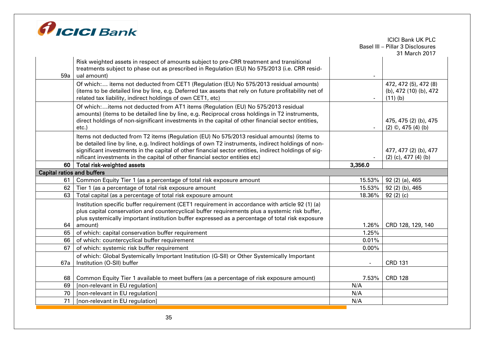

|                                   |                                                                                                                                                                                                                                                                                                                                                                                       |                | <b>ICICI Bank UK PLC</b><br>Basel III - Pillar 3 Disclosures  |
|-----------------------------------|---------------------------------------------------------------------------------------------------------------------------------------------------------------------------------------------------------------------------------------------------------------------------------------------------------------------------------------------------------------------------------------|----------------|---------------------------------------------------------------|
|                                   |                                                                                                                                                                                                                                                                                                                                                                                       |                | 31 March 2017                                                 |
| 59a                               | Risk weighted assets in respect of amounts subject to pre-CRR treatment and transitional<br>treatments subject to phase out as prescribed in Regulation (EU) No 575/2013 (i.e. CRR resid-<br>ual amount)                                                                                                                                                                              |                |                                                               |
|                                   | Of which: items not deducted from CET1 (Regulation (EU) No 575/2013 residual amounts)<br>(items to be detailed line by line, e.g. Deferred tax assets that rely on future profitability net of<br>related tax liability, indirect holdings of own CET1, etc)                                                                                                                          |                | 472, 472 (5), 472 (8)<br>(b), 472 (10) (b), 472<br>$(11)$ (b) |
|                                   | Of which:items not deducted from AT1 items (Regulation (EU) No 575/2013 residual<br>amounts) (items to be detailed line by line, e.g. Reciprocal cross holdings in T2 instruments,<br>direct holdings of non-significant investments in the capital of other financial sector entities,<br>etc.)                                                                                      |                | 475, 475 (2) (b), 475<br>$(2)$ ©, 475 (4) (b)                 |
|                                   | Items not deducted from T2 items (Regulation (EU) No 575/2013 residual amounts) (items to<br>be detailed line by line, e.g. Indirect holdings of own T2 instruments, indirect holdings of non-<br>significant investments in the capital of other financial sector entities, indirect holdings of sig-<br>nificant investments in the capital of other financial sector entities etc) |                | 477, 477 (2) (b), 477<br>$(2)$ (c), 477 (4) (b)               |
| 60                                | <b>Total risk-weighted assets</b>                                                                                                                                                                                                                                                                                                                                                     | 3,356.0        |                                                               |
| <b>Capital ratios and buffers</b> |                                                                                                                                                                                                                                                                                                                                                                                       |                |                                                               |
| 61                                | Common Equity Tier 1 (as a percentage of total risk exposure amount                                                                                                                                                                                                                                                                                                                   | 15.53%         | 92 (2) (a), 465                                               |
| 62                                | Tier 1 (as a percentage of total risk exposure amount                                                                                                                                                                                                                                                                                                                                 | 15.53%         | 92 (2) (b), 465                                               |
| 63                                | Total capital (as a percentage of total risk exposure amount                                                                                                                                                                                                                                                                                                                          | 18.36%         | 92(2)(c)                                                      |
|                                   | Institution specific buffer requirement (CET1 requirement in accordance with article 92 (1) (a)<br>plus capital conservation and countercyclical buffer requirements plus a systemic risk buffer,<br>plus systemically important institution buffer expressed as a percentage of total risk exposure                                                                                  |                |                                                               |
| 64                                | amount)                                                                                                                                                                                                                                                                                                                                                                               | 1.26%          | CRD 128, 129, 140                                             |
| 65                                | of which: capital conservation buffer requirement                                                                                                                                                                                                                                                                                                                                     | 1.25%          |                                                               |
| 66                                | of which: countercyclical buffer requirement                                                                                                                                                                                                                                                                                                                                          | 0.01%          |                                                               |
| 67                                | of which: systemic risk buffer requirement                                                                                                                                                                                                                                                                                                                                            | $0.00\%$       |                                                               |
| 67a                               | of which: Global Systemically Important Institution (G-SII) or Other Systemically Important<br>Institution (O-SII) buffer                                                                                                                                                                                                                                                             | $\blacksquare$ | <b>CRD 131</b>                                                |
| 68                                | Common Equity Tier 1 available to meet buffers (as a percentage of risk exposure amount)                                                                                                                                                                                                                                                                                              | 7.53%          | <b>CRD 128</b>                                                |
| 69                                | [non-relevant in EU regulation]                                                                                                                                                                                                                                                                                                                                                       | N/A            |                                                               |
| 70                                | [non-relevant in EU regulation]                                                                                                                                                                                                                                                                                                                                                       | N/A            |                                                               |
| 71                                | [non-relevant in EU regulation]                                                                                                                                                                                                                                                                                                                                                       | N/A            |                                                               |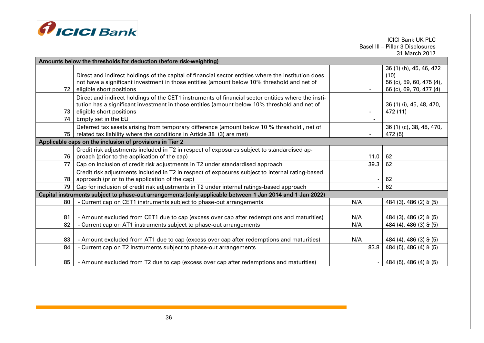

| Amounts below the thresholds for deduction (before risk-weighting) |                                                                                                                                                                                                                                |      |                                                                                        |  |  |  |  |
|--------------------------------------------------------------------|--------------------------------------------------------------------------------------------------------------------------------------------------------------------------------------------------------------------------------|------|----------------------------------------------------------------------------------------|--|--|--|--|
| 72                                                                 | Direct and indirect holdings of the capital of financial sector entities where the institution does<br>not have a significant investment in those entities (amount below 10% threshold and net of<br>eligible short positions  |      | 36 (1) (h), 45, 46, 472<br>(10)<br>56 (c), 59, 60, 475 (4),<br>66 (c), 69, 70, 477 (4) |  |  |  |  |
| 73                                                                 | Direct and indirect holdings of the CET1 instruments of financial sector entities where the insti-<br>tution has a significant investment in those entities (amount below 10% threshold and net of<br>eligible short positions |      | 36 (1) (i), 45, 48, 470,<br>472 (11)                                                   |  |  |  |  |
| 74                                                                 | Empty set in the EU                                                                                                                                                                                                            |      |                                                                                        |  |  |  |  |
| 75                                                                 | Deferred tax assets arising from temporary difference (amount below 10 % threshold, net of<br>related tax liability where the conditions in Article 38 (3) are met)                                                            |      | 36 (1) (c), 38, 48, 470,<br>472 (5)                                                    |  |  |  |  |
|                                                                    | Applicable caps on the inclusion of provisions in Tier 2                                                                                                                                                                       |      |                                                                                        |  |  |  |  |
| 76                                                                 | Credit risk adjustments included in T2 in respect of exposures subject to standardised ap-<br>proach (prior to the application of the cap)                                                                                     | 11.0 | 62                                                                                     |  |  |  |  |
| 77                                                                 | Cap on inclusion of credit risk adjustments in T2 under standardised approach                                                                                                                                                  | 39.3 | 62                                                                                     |  |  |  |  |
| 78                                                                 | Credit risk adjustments included in T2 in respect of exposures subject to internal rating-based<br>approach (prior to the application of the cap)                                                                              |      | 62                                                                                     |  |  |  |  |
| 79                                                                 | Cap for inclusion of credit risk adjustments in T2 under internal ratings-based approach                                                                                                                                       |      | 62                                                                                     |  |  |  |  |
|                                                                    | Capital instruments subject to phase-out arrangements (only applicable between 1 Jan 2014 and 1 Jan 2022)                                                                                                                      |      |                                                                                        |  |  |  |  |
| 80                                                                 | - Current cap on CET1 instruments subject to phase-out arrangements                                                                                                                                                            | N/A  | 484 (3), 486 (2) & (5)                                                                 |  |  |  |  |
| 81                                                                 | - Amount excluded from CET1 due to cap (excess over cap after redemptions and maturities)                                                                                                                                      | N/A  | 484 (3), 486 (2) & (5)                                                                 |  |  |  |  |
| 82                                                                 | - Current cap on AT1 instruments subject to phase-out arrangements                                                                                                                                                             | N/A  | 484 (4), 486 (3) & (5)                                                                 |  |  |  |  |
| 83                                                                 | - Amount excluded from AT1 due to cap (excess over cap after redemptions and maturities)                                                                                                                                       | N/A  | 484 (4), 486 (3) & (5)                                                                 |  |  |  |  |
| 84                                                                 | - Current cap on T2 instruments subject to phase-out arrangements                                                                                                                                                              | 83.8 | 484 (5), 486 (4) & (5)                                                                 |  |  |  |  |
| 85                                                                 | - Amount excluded from T2 due to cap (excess over cap after redemptions and maturities)                                                                                                                                        |      | 484 (5), 486 (4) & (5)                                                                 |  |  |  |  |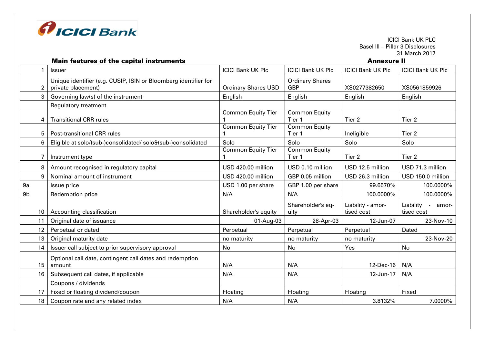

ICICI Bank UK PLC Basel III – Pillar 3 Disclosures 31 March 2017<br>**Annexure II** 

## Main features of the capital instruments

| $\mathbf{1}$     | Issuer                                                                                | <b>ICICI Bank UK Plc</b>   | <b>ICICI Bank UK Plc</b>             | <b>ICICI Bank UK Plc</b>        | <b>ICICI Bank UK Plc</b>                   |
|------------------|---------------------------------------------------------------------------------------|----------------------------|--------------------------------------|---------------------------------|--------------------------------------------|
| $\mathbf{2}$     | Unique identifier (e.g. CUSIP, ISIN or Bloomberg identifier for<br>private placement) | <b>Ordinary Shares USD</b> | <b>Ordinary Shares</b><br><b>GBP</b> | XS0277382650                    | XS0561859926                               |
| 3                | Governing law(s) of the instrument                                                    | English                    | English                              | English                         | English                                    |
|                  | Regulatory treatment                                                                  |                            |                                      |                                 |                                            |
| 4                | <b>Transitional CRR rules</b>                                                         | <b>Common Equity Tier</b>  | <b>Common Equity</b><br>Tier 1       | Tier <sub>2</sub>               | Tier 2                                     |
| 5.               | <b>Post-transitional CRR rules</b>                                                    | <b>Common Equity Tier</b>  | <b>Common Equity</b><br>Tier 1       | Ineligible                      | Tier 2                                     |
| 6                | Eligible at solo/(sub-)consolidated/ solo&(sub-)consolidated                          | Solo                       | Solo                                 | Solo                            | Solo                                       |
|                  | Instrument type                                                                       | <b>Common Equity Tier</b>  | <b>Common Equity</b><br>Tier 1       | Tier <sub>2</sub>               | Tier 2                                     |
| 8                | Amount recognised in regulatory capital                                               | USD 420.00 million         | USD 0.10 million                     | USD 12.5 million                | USD 71.3 million                           |
| 9                | Nominal amount of instrument                                                          | USD 420.00 million         | GBP 0.05 million                     | USD 26.3 million                | USD 150.0 million                          |
| 9a               | Issue price                                                                           | USD 1.00 per share         | GBP 1.00 per share                   | 99.6570%                        | 100.0000%                                  |
| 9 <sub>b</sub>   | Redemption price                                                                      | N/A                        | N/A                                  | 100.0000%                       | 100.0000%                                  |
| 10 <sup>1</sup>  | Accounting classification                                                             | Shareholder's equity       | Shareholder's eq-<br>uity            | Liability - amor-<br>tised cost | Liability<br>amor-<br>$\sim$<br>tised cost |
| 11               | Original date of issuance                                                             | 01-Aug-03                  | 28-Apr-03                            | 12-Jun-07                       | 23-Nov-10                                  |
| 12 <sup>12</sup> | Perpetual or dated                                                                    | Perpetual                  | Perpetual                            | Perpetual                       | Dated                                      |
| 13               | Original maturity date                                                                | no maturity                | no maturity                          | no maturity                     | 23-Nov-20                                  |
| 14               | Issuer call subject to prior supervisory approval                                     | <b>No</b>                  | <b>No</b>                            | Yes                             | No                                         |
| 15               | Optional call date, contingent call dates and redemption<br>amount                    | N/A                        | N/A                                  | 12-Dec-16                       | N/A                                        |
| 16               | Subsequent call dates, if applicable                                                  | N/A                        | N/A                                  | 12-Jun-17                       | N/A                                        |
|                  | Coupons / dividends                                                                   |                            |                                      |                                 |                                            |
| 17               | Fixed or floating dividend/coupon                                                     | Floating                   | Floating                             | Floating                        | Fixed                                      |
| 18               | Coupon rate and any related index                                                     | N/A                        | N/A                                  | 3.8132%                         | 7.0000%                                    |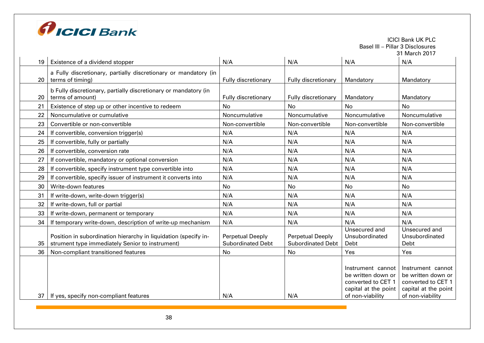

| 19 | Existence of a dividend stopper                                                                                    | N/A                                                 | N/A                                                 | N/A                                                                                                       | U I IVIUI UII <i>L</i> U I <i>I</i><br>N/A                                                                |
|----|--------------------------------------------------------------------------------------------------------------------|-----------------------------------------------------|-----------------------------------------------------|-----------------------------------------------------------------------------------------------------------|-----------------------------------------------------------------------------------------------------------|
| 20 | a Fully discretionary, partially discretionary or mandatory (in<br>terms of timing)                                | Fully discretionary                                 | Fully discretionary                                 | Mandatory                                                                                                 | Mandatory                                                                                                 |
| 20 | b Fully discretionary, partially discretionary or mandatory (in<br>terms of amount)                                | Fully discretionary                                 | Fully discretionary                                 | Mandatory                                                                                                 | Mandatory                                                                                                 |
| 21 | Existence of step up or other incentive to redeem                                                                  | No                                                  | No                                                  | No                                                                                                        | No                                                                                                        |
| 22 | Noncumulative or cumulative                                                                                        | Noncumulative                                       | Noncumulative                                       | Noncumulative                                                                                             | Noncumulative                                                                                             |
| 23 | Convertible or non-convertible                                                                                     | Non-convertible                                     | Non-convertible                                     | Non-convertible                                                                                           | Non-convertible                                                                                           |
| 24 | If convertible, conversion trigger(s)                                                                              | N/A                                                 | N/A                                                 | N/A                                                                                                       | N/A                                                                                                       |
| 25 | If convertible, fully or partially                                                                                 | N/A                                                 | N/A                                                 | N/A                                                                                                       | N/A                                                                                                       |
| 26 | If convertible, conversion rate                                                                                    | N/A                                                 | N/A                                                 | N/A                                                                                                       | N/A                                                                                                       |
| 27 | If convertible, mandatory or optional conversion                                                                   | N/A                                                 | N/A                                                 | N/A                                                                                                       | N/A                                                                                                       |
| 28 | If convertible, specify instrument type convertible into                                                           | N/A                                                 | N/A                                                 | N/A                                                                                                       | N/A                                                                                                       |
| 29 | If convertible, specify issuer of instrument it converts into                                                      | N/A                                                 | N/A                                                 | N/A                                                                                                       | N/A                                                                                                       |
| 30 | Write-down features                                                                                                | No                                                  | No                                                  | No                                                                                                        | No                                                                                                        |
| 31 | If write-down, write-down trigger(s)                                                                               | N/A                                                 | N/A                                                 | N/A                                                                                                       | N/A                                                                                                       |
| 32 | If write-down, full or partial                                                                                     | N/A                                                 | N/A                                                 | N/A                                                                                                       | N/A                                                                                                       |
| 33 | If write-down, permanent or temporary                                                                              | N/A                                                 | N/A                                                 | N/A                                                                                                       | N/A                                                                                                       |
| 34 | If temporary write-down, description of write-up mechanism                                                         | N/A                                                 | N/A                                                 | N/A                                                                                                       | N/A                                                                                                       |
| 35 | Position in subordination hierarchy in liquidation (specify in-<br>strument type immediately Senior to instrument) | <b>Perpetual Deeply</b><br><b>Subordinated Debt</b> | <b>Perpetual Deeply</b><br><b>Subordinated Debt</b> | Unsecured and<br>Unsubordinated<br>Debt                                                                   | Unsecured and<br>Unsubordinated<br>Debt                                                                   |
| 36 | Non-compliant transitioned features                                                                                | No                                                  | No                                                  | Yes                                                                                                       | Yes                                                                                                       |
| 37 | If yes, specify non-compliant features                                                                             | N/A                                                 | N/A                                                 | Instrument cannot<br>be written down or<br>converted to CET 1<br>capital at the point<br>of non-viability | Instrument cannot<br>be written down or<br>converted to CET 1<br>capital at the point<br>of non-viability |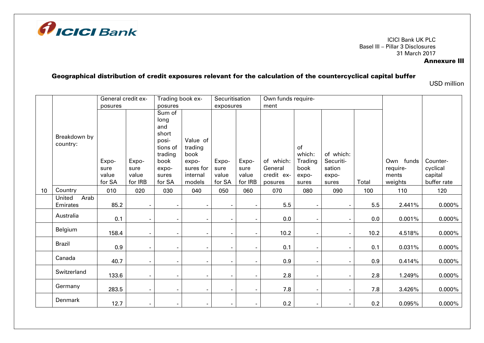

## Annexure III

# Geographical distribution of credit exposures relevant for the calculation of the countercyclical capital buffer

USD million

|                 |                | General credit ex- |                | Trading book ex-         |                          |                          | Securitisation |            | Own funds require-       |           |       |           |             |
|-----------------|----------------|--------------------|----------------|--------------------------|--------------------------|--------------------------|----------------|------------|--------------------------|-----------|-------|-----------|-------------|
|                 |                | posures            |                | posures                  |                          | exposures                |                | ment       |                          |           |       |           |             |
|                 |                |                    |                | Sum of                   |                          |                          |                |            |                          |           |       |           |             |
|                 |                |                    |                | long                     |                          |                          |                |            |                          |           |       |           |             |
|                 |                |                    |                | and                      |                          |                          |                |            |                          |           |       |           |             |
|                 | Breakdown by   |                    |                | short                    |                          |                          |                |            |                          |           |       |           |             |
|                 | country:       |                    |                | posi-                    | Value of                 |                          |                |            |                          |           |       |           |             |
|                 |                |                    |                | tions of                 | trading                  |                          |                |            | of                       |           |       |           |             |
|                 |                |                    |                | trading                  | book                     |                          |                |            | which:                   | of which: |       |           |             |
|                 |                | Expo-              | Expo-          | book                     | expo-                    | Expo-                    | Expo-          | of which:  | Trading                  | Securiti- |       | Own funds | Counter-    |
|                 |                | sure               | sure           | expo-                    | sures for                | sure                     | sure           | General    | book                     | sation    |       | require-  | cyclical    |
|                 |                | value              | value          | sures                    | internal                 | value                    | value          | credit ex- | expo-                    | expo-     |       | ments     | capital     |
|                 |                | for SA             | for IRB        | for SA                   | models                   | for SA                   | for IRB        | posures    | sures                    | sures     | Total | weights   | buffer rate |
| 10 <sup>°</sup> | Country        | 010                | 020            | 030                      | 040                      | 050                      | 060            | 070        | 080                      | 090       | 100   | 110       | 120         |
|                 | Arab<br>United |                    |                |                          |                          |                          |                |            |                          |           |       |           |             |
|                 | Emirates       | 85.2               |                |                          |                          |                          |                | 5.5        | $\overline{\phantom{a}}$ |           | 5.5   | 2.441%    | $0.000\%$   |
|                 | Australia      |                    |                |                          |                          |                          |                |            |                          |           |       |           |             |
|                 |                | 0.1                |                |                          | ٠                        | $\overline{\phantom{0}}$ |                | 0.0        | $\overline{a}$           |           | 0.0   | 0.001%    | $0.000\%$   |
|                 | Belgium        | 158.4              | $\blacksquare$ | $\overline{\phantom{a}}$ | $\overline{\phantom{a}}$ | ٠                        |                | 10.2       | $\overline{\phantom{a}}$ |           | 10.2  | 4.518%    | $0.000\%$   |
|                 | <b>Brazil</b>  |                    |                |                          |                          |                          |                |            |                          |           |       |           |             |
|                 |                | 0.9                |                | $\overline{\phantom{a}}$ | ÷                        | ٠                        |                | 0.1        | $\sim$                   |           | 0.1   | 0.031%    | $0.000\%$   |
|                 | Canada         |                    |                |                          |                          |                          |                |            |                          |           | 0.9   |           | $0.000\%$   |
|                 |                | 40.7               |                |                          |                          |                          |                | 0.9        |                          |           |       | 0.414%    |             |
|                 | Switzerland    | 133.6              |                |                          |                          |                          |                | 2.8        | ٠                        |           | 2.8   | 1.249%    | $0.000\%$   |
|                 | Germany        |                    |                |                          |                          |                          |                |            |                          |           |       |           |             |
|                 |                | 283.5              |                |                          | $\overline{\phantom{a}}$ | $\overline{\phantom{a}}$ |                | 7.8        | $\overline{\phantom{a}}$ |           | 7.8   | 3.426%    | $0.000\%$   |
|                 | Denmark        | 12.7               |                |                          |                          |                          |                | 0.2        |                          |           | 0.2   | 0.095%    | $0.000\%$   |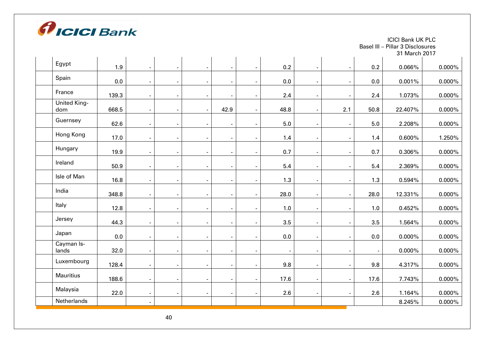

31 March 201 7 Egypt 1.9 - - - - - 0.2 - -  $0.2$  0.066% 0.000% Spain 0.0 - - - - - 0.0 - -  $0.0$   $0.001\%$   $0.000\%$ France 139.3 - - - - - 2.4 - - 2.4 1.073% 0.000% United Kingdom 668.5 - - - 42.9 - 48.8 - 2.1 50.8 22.407% 0.000% Guernsey 62.6 - - - - - 5.0 - - 5.0 2.208% 0.000% Hong Kong 17.0 - - - - - 1.4 - - 1.4 0.600% 1.250% Hungary 19.9 - - - - - 0.7 - -  $0.7$  0.306% 0.000% Ireland 50.9 - - - - - 5.4 - - 5.4 2.369% 0.000% Isle of Man 16.8 - - - - - 1.3 - -  $1.3$  0.594% 0.000% India 348.8 - - - - - 28.0 - - 28.0 12.331% 0.000% Italy  $\begin{array}{ccc} \hline \end{array}$ 12.8 - - - - - 1.0 - -  $1.0$  0.452% 0.000% Jersey 44.3 - - - - - 3.5 - -  $3.5$  1.564% 0.000% Japan 0.0 - - - - - 0.0 - -  $0.0 \begin{array}{ccc} 0.0 \end{array}$  0.000% 0.000% Cayman Islands 32.0 - - - - - - - -  $-$  0.000% 0.000% Luxembourg 128.4 - - - - - 9.8 - - 9.8 4.317% 0.000% **Mauritius** 188.6 - - - - - 17.6 - - 17.6 7.743% 0.000% Malaysia 22.0 - - - - - 2.6 - -  $2.6$  1.164% 0.000% Netherlands - 8.245% 0.000%

ICICI Bank UK PLC

Basel III – Pillar 3 Disclosures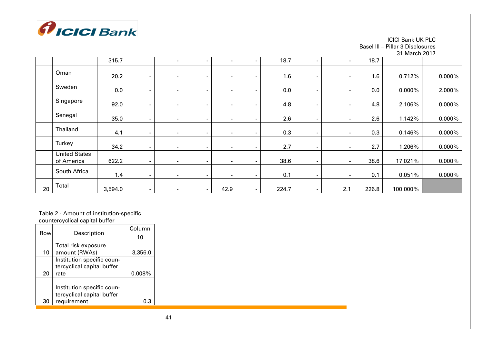

|    |                                    |         |        |                          |        |                          |        |       |                          |                          |       | <b>JI IVIAICII ZUI</b> |           |
|----|------------------------------------|---------|--------|--------------------------|--------|--------------------------|--------|-------|--------------------------|--------------------------|-------|------------------------|-----------|
|    |                                    | 315.7   |        | $\sim$                   | $\sim$ | $\overline{\phantom{a}}$ | $\sim$ | 18.7  | $\sim$                   | $\sim$                   | 18.7  |                        |           |
|    | Oman                               | 20.2    | $\sim$ | $\overline{\phantom{a}}$ | $\sim$ | $\overline{\phantom{a}}$ | -      | 1.6   | $\overline{\phantom{a}}$ | $\sim$                   | 1.6   | 0.712%                 | $0.000\%$ |
|    | Sweden                             | 0.0     | $\sim$ | $\overline{\phantom{0}}$ | $\sim$ | $\overline{\phantom{a}}$ |        | 0.0   | $\overline{\phantom{a}}$ | $\sim$                   | 0.0   | $0.000\%$              | 2.000%    |
|    | Singapore                          | 92.0    | $\sim$ | $\overline{\phantom{0}}$ | $\sim$ | $\overline{\phantom{a}}$ |        | 4.8   | $\overline{\phantom{a}}$ | $\sim$                   | 4.8   | 2.106%                 | $0.000\%$ |
|    | Senegal                            | 35.0    | $\sim$ | $\overline{\phantom{0}}$ | $\sim$ | $\overline{\phantom{a}}$ |        | 2.6   | $\overline{\phantom{0}}$ |                          | 2.6   | 1.142%                 | $0.000\%$ |
|    | Thailand                           | 4.1     | $\sim$ | $\overline{\phantom{0}}$ | $\sim$ | $\overline{\phantom{a}}$ |        | 0.3   | $\overline{\phantom{a}}$ |                          | 0.3   | 0.146%                 | $0.000\%$ |
|    | Turkey                             | 34.2    | $\sim$ |                          | ۰.     | $\overline{\phantom{a}}$ |        | 2.7   | $\overline{\phantom{a}}$ | $\overline{\phantom{0}}$ | 2.7   | 1.206%                 | $0.000\%$ |
|    | <b>United States</b><br>of America | 622.2   | $\sim$ | $\overline{\phantom{a}}$ | $\sim$ | $\overline{\phantom{a}}$ |        | 38.6  | $\overline{\phantom{a}}$ | $\sim$                   | 38.6  | 17.021%                | $0.000\%$ |
|    | South Africa                       | 1.4     | $\sim$ | $\overline{\phantom{a}}$ | $\sim$ | $\sim$                   |        | 0.1   | $\overline{\phantom{0}}$ | $\sim$                   | 0.1   | 0.051%                 | $0.000\%$ |
| 20 | Total                              | 3,594.0 | $\sim$ | ٠                        | $\sim$ | 42.9                     |        | 224.7 | $\overline{\phantom{a}}$ | 2.1                      | 226.8 | 100.000%               |           |

Table 2 - Amount of institution-specific countercyclical capital buffer

| Row |                            | Column  |
|-----|----------------------------|---------|
|     | Description                | 10      |
|     | Total risk exposure        |         |
| 10  | amount (RWAs)              | 3,356.0 |
|     | Institution specific coun- |         |
|     | tercyclical capital buffer |         |
| 20  | rate                       | 0.008%  |
|     |                            |         |
|     | Institution specific coun- |         |
|     | tercyclical capital buffer |         |
| 30  | requirement                | 0.3     |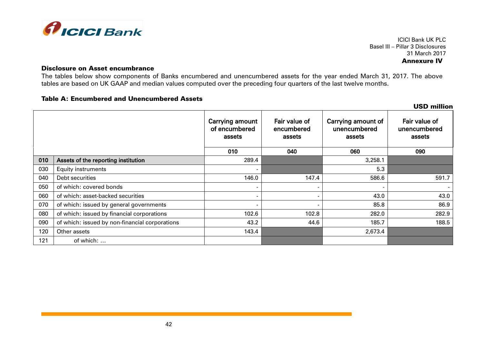

ICICI Bank UK PLC Basel III – Pillar 3 Disclosures 31 March 2017 Annexure IV

## Disclosure on Asset encumbrance

The tables below show components of Banks encumbered and unencumbered assets for the year ended March 31, 2017. The above tables are based on UK GAAP and median values computed over the preceding four quarters of the last twelve months.

## Table A: Encumbered and Unencumbered Assets

|     |                                                |                                            |                                       |                                              | <b>USD million</b>                      |
|-----|------------------------------------------------|--------------------------------------------|---------------------------------------|----------------------------------------------|-----------------------------------------|
|     |                                                | Carrying amount<br>of encumbered<br>assets | Fair value of<br>encumbered<br>assets | Carrying amount of<br>unencumbered<br>assets | Fair value of<br>unencumbered<br>assets |
|     |                                                | 010                                        | 040                                   | 060                                          | 090                                     |
| 010 | Assets of the reporting institution            | 289.4                                      |                                       | 3,258.1                                      |                                         |
| 030 | <b>Equity instruments</b>                      | ۰                                          |                                       | 5.3                                          |                                         |
| 040 | Debt securities                                | 146.0                                      | 147.4                                 | 586.6                                        | 591.7                                   |
| 050 | of which: covered bonds                        |                                            |                                       | ٠                                            |                                         |
| 060 | of which: asset-backed securities              |                                            |                                       | 43.0                                         | 43.0                                    |
| 070 | of which: issued by general governments        |                                            |                                       | 85.8                                         | 86.9                                    |
| 080 | of which: issued by financial corporations     | 102.6                                      | 102.8                                 | 282.0                                        | 282.9                                   |
| 090 | of which: issued by non-financial corporations | 43.2                                       | 44.6                                  | 185.7                                        | 188.5                                   |
| 120 | Other assets                                   | 143.4                                      |                                       | 2,673.4                                      |                                         |
| 121 | of which:                                      |                                            |                                       |                                              |                                         |

42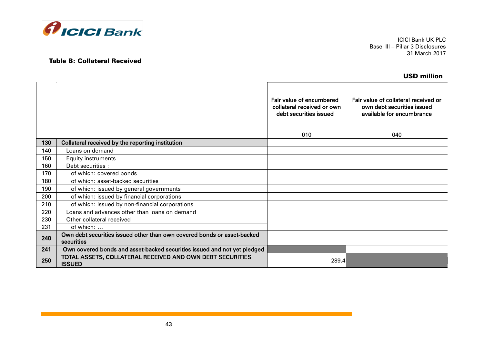

## Table B: Collateral Received

ICICI Bank UK PLC Basel III – Pillar 3 Disclosures 31 March 2017

## USD million

|     |                                                                                       | Fair value of encumbered<br>collateral received or own<br>debt securities issued<br>010 | Fair value of collateral received or<br>own debt securities issued<br>available for encumbrance<br>040 |
|-----|---------------------------------------------------------------------------------------|-----------------------------------------------------------------------------------------|--------------------------------------------------------------------------------------------------------|
| 130 | Collateral received by the reporting institution                                      |                                                                                         |                                                                                                        |
| 140 | Loans on demand                                                                       |                                                                                         |                                                                                                        |
| 150 | <b>Equity instruments</b>                                                             |                                                                                         |                                                                                                        |
| 160 | Debt securities :                                                                     |                                                                                         |                                                                                                        |
| 170 | of which: covered bonds                                                               |                                                                                         |                                                                                                        |
| 180 | of which: asset-backed securities                                                     |                                                                                         |                                                                                                        |
| 190 | of which: issued by general governments                                               |                                                                                         |                                                                                                        |
| 200 | of which: issued by financial corporations                                            |                                                                                         |                                                                                                        |
| 210 | of which: issued by non-financial corporations                                        |                                                                                         |                                                                                                        |
| 220 | Loans and advances other than loans on demand                                         |                                                                                         |                                                                                                        |
| 230 | Other collateral received                                                             |                                                                                         |                                                                                                        |
| 231 | of which:                                                                             |                                                                                         |                                                                                                        |
| 240 | Own debt securities issued other than own covered bonds or asset-backed<br>securities |                                                                                         |                                                                                                        |
| 241 | Own covered bonds and asset-backed securities issued and not yet pledged              |                                                                                         |                                                                                                        |
| 250 | TOTAL ASSETS, COLLATERAL RECEIVED AND OWN DEBT SECURITIES<br><b>ISSUED</b>            | 289.4                                                                                   |                                                                                                        |